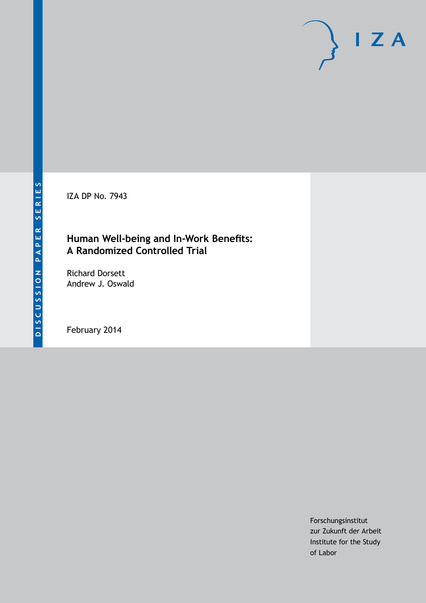IZA DP No. 7943

# **Human Well-being and In-Work Benefits: A Randomized Controlled Trial**

Richard Dorsett Andrew J. Oswald

February 2014

Forschungsinstitut zur Zukunft der Arbeit Institute for the Study of Labor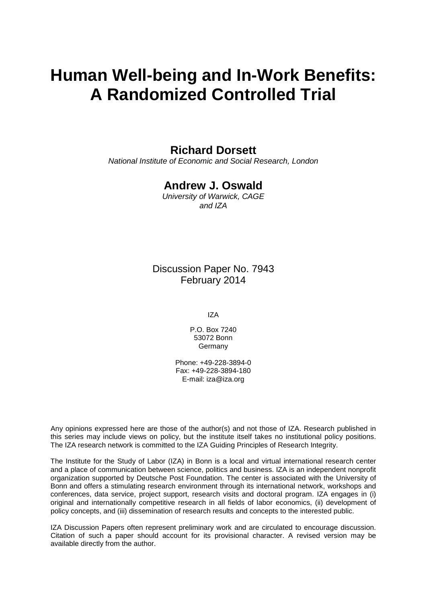# **Human Well-being and In-Work Benefits: A Randomized Controlled Trial**

# **Richard Dorsett**

*National Institute of Economic and Social Research, London*

# **Andrew J. Oswald**

*University of Warwick, CAGE and IZA*

Discussion Paper No. 7943 February 2014

IZA

P.O. Box 7240 53072 Bonn **Germany** 

Phone: +49-228-3894-0 Fax: +49-228-3894-180 E-mail: [iza@iza.org](mailto:iza@iza.org)

Any opinions expressed here are those of the author(s) and not those of IZA. Research published in this series may include views on policy, but the institute itself takes no institutional policy positions. The IZA research network is committed to the IZA Guiding Principles of Research Integrity.

The Institute for the Study of Labor (IZA) in Bonn is a local and virtual international research center and a place of communication between science, politics and business. IZA is an independent nonprofit organization supported by Deutsche Post Foundation. The center is associated with the University of Bonn and offers a stimulating research environment through its international network, workshops and conferences, data service, project support, research visits and doctoral program. IZA engages in (i) original and internationally competitive research in all fields of labor economics, (ii) development of policy concepts, and (iii) dissemination of research results and concepts to the interested public.

<span id="page-1-0"></span>IZA Discussion Papers often represent preliminary work and are circulated to encourage discussion. Citation of such a paper should account for its provisional character. A revised version may be available directly from the author.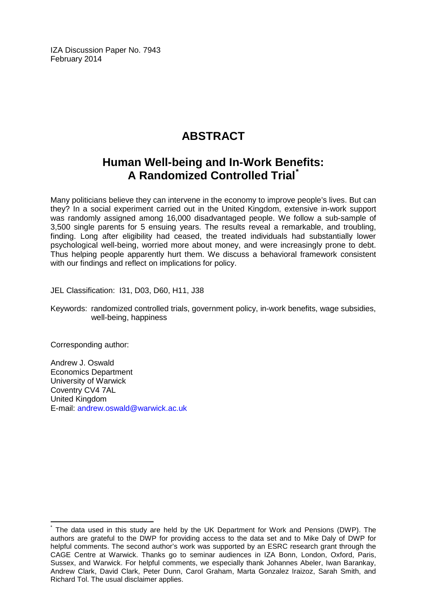IZA Discussion Paper No. 7943 February 2014

# **ABSTRACT**

# **Human Well-being and In-Work Benefits: A Randomized Controlled Trial[\\*](#page-1-0)**

Many politicians believe they can intervene in the economy to improve people's lives. But can they? In a social experiment carried out in the United Kingdom, extensive in-work support was randomly assigned among 16,000 disadvantaged people. We follow a sub-sample of 3,500 single parents for 5 ensuing years. The results reveal a remarkable, and troubling, finding. Long after eligibility had ceased, the treated individuals had substantially lower psychological well-being, worried more about money, and were increasingly prone to debt. Thus helping people apparently hurt them. We discuss a behavioral framework consistent with our findings and reflect on implications for policy.

JEL Classification: I31, D03, D60, H11, J38

Keywords: randomized controlled trials, government policy, in-work benefits, wage subsidies, well-being, happiness

Corresponding author:

Andrew J. Oswald Economics Department University of Warwick Coventry CV4 7AL United Kingdom E-mail: [andrew.oswald@warwick.ac.uk](mailto:andrew.oswald@warwick.ac.uk)

The data used in this study are held by the UK Department for Work and Pensions (DWP). The authors are grateful to the DWP for providing access to the data set and to Mike Daly of DWP for helpful comments. The second author's work was supported by an ESRC research grant through the CAGE Centre at Warwick. Thanks go to seminar audiences in IZA Bonn, London, Oxford, Paris, Sussex, and Warwick. For helpful comments, we especially thank Johannes Abeler, Iwan Barankay, Andrew Clark, David Clark, Peter Dunn, Carol Graham, Marta Gonzalez Iraizoz, Sarah Smith, and Richard Tol. The usual disclaimer applies.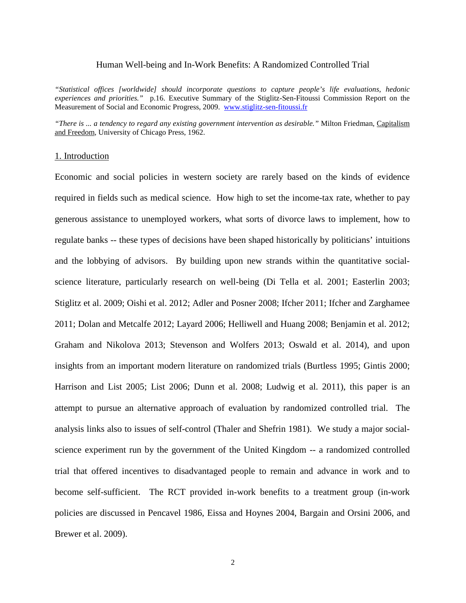#### Human Well-being and In-Work Benefits: A Randomized Controlled Trial

*"Statistical offices [worldwide] should incorporate questions to capture people's life evaluations, hedonic experiences and priorities."* p.16. Executive Summary of the Stiglitz-Sen-Fitoussi Commission Report on the Measurement of Social and Economic Progress, 2009. [www.stiglitz-sen-fitoussi.fr](http://www.stiglitz-sen-fitoussi.fr/)

*"There is ... a tendency to regard any existing government intervention as desirable."* Milton Friedman, Capitalism and Freedom, University of Chicago Press, 1962.

#### 1. Introduction

Economic and social policies in western society are rarely based on the kinds of evidence required in fields such as medical science. How high to set the income-tax rate, whether to pay generous assistance to unemployed workers, what sorts of divorce laws to implement, how to regulate banks -- these types of decisions have been shaped historically by politicians' intuitions and the lobbying of advisors. By building upon new strands within the quantitative socialscience literature, particularly research on well-being (Di Tella et al. 2001; Easterlin 2003; Stiglitz et al. 2009; Oishi et al. 2012; Adler and Posner 2008; Ifcher 2011; Ifcher and Zarghamee 2011; Dolan and Metcalfe 2012; Layard 2006; Helliwell and Huang 2008; Benjamin et al. 2012; Graham and Nikolova 2013; Stevenson and Wolfers 2013; Oswald et al. 2014), and upon insights from an important modern literature on randomized trials (Burtless 1995; Gintis 2000; Harrison and List 2005; List 2006; Dunn et al. 2008; Ludwig et al. 2011), this paper is an attempt to pursue an alternative approach of evaluation by randomized controlled trial. The analysis links also to issues of self-control (Thaler and Shefrin 1981). We study a major socialscience experiment run by the government of the United Kingdom -- a randomized controlled trial that offered incentives to disadvantaged people to remain and advance in work and to become self-sufficient. The RCT provided in-work benefits to a treatment group (in-work policies are discussed in Pencavel 1986, Eissa and Hoynes 2004, Bargain and Orsini 2006, and Brewer et al. 2009).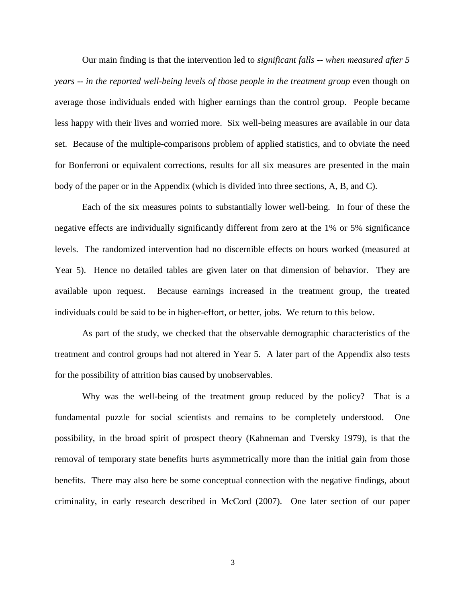Our main finding is that the intervention led to *significant falls -- when measured after 5 years -- in the reported well-being levels of those people in the treatment group* even though on average those individuals ended with higher earnings than the control group. People became less happy with their lives and worried more. Six well-being measures are available in our data set. Because of the multiple-comparisons problem of applied statistics, and to obviate the need for Bonferroni or equivalent corrections, results for all six measures are presented in the main body of the paper or in the Appendix (which is divided into three sections, A, B, and C).

Each of the six measures points to substantially lower well-being. In four of these the negative effects are individually significantly different from zero at the 1% or 5% significance levels. The randomized intervention had no discernible effects on hours worked (measured at Year 5). Hence no detailed tables are given later on that dimension of behavior. They are available upon request. Because earnings increased in the treatment group, the treated individuals could be said to be in higher-effort, or better, jobs. We return to this below.

As part of the study, we checked that the observable demographic characteristics of the treatment and control groups had not altered in Year 5. A later part of the Appendix also tests for the possibility of attrition bias caused by unobservables.

Why was the well-being of the treatment group reduced by the policy? That is a fundamental puzzle for social scientists and remains to be completely understood. One possibility, in the broad spirit of prospect theory (Kahneman and Tversky 1979), is that the removal of temporary state benefits hurts asymmetrically more than the initial gain from those benefits. There may also here be some conceptual connection with the negative findings, about criminality, in early research described in McCord (2007). One later section of our paper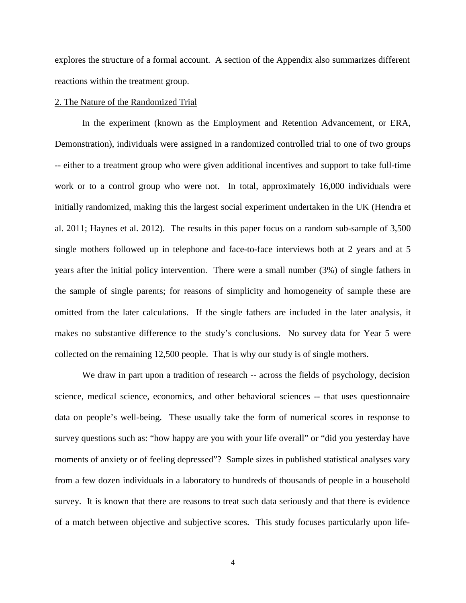explores the structure of a formal account. A section of the Appendix also summarizes different reactions within the treatment group.

#### 2. The Nature of the Randomized Trial

In the experiment (known as the Employment and Retention Advancement, or ERA, Demonstration), individuals were assigned in a randomized controlled trial to one of two groups -- either to a treatment group who were given additional incentives and support to take full-time work or to a control group who were not. In total, approximately 16,000 individuals were initially randomized, making this the largest social experiment undertaken in the UK (Hendra et al. 2011; Haynes et al. 2012). The results in this paper focus on a random sub-sample of 3,500 single mothers followed up in telephone and face-to-face interviews both at 2 years and at 5 years after the initial policy intervention. There were a small number (3%) of single fathers in the sample of single parents; for reasons of simplicity and homogeneity of sample these are omitted from the later calculations. If the single fathers are included in the later analysis, it makes no substantive difference to the study's conclusions. No survey data for Year 5 were collected on the remaining 12,500 people. That is why our study is of single mothers.

We draw in part upon a tradition of research -- across the fields of psychology, decision science, medical science, economics, and other behavioral sciences -- that uses questionnaire data on people's well-being. These usually take the form of numerical scores in response to survey questions such as: "how happy are you with your life overall" or "did you yesterday have moments of anxiety or of feeling depressed"? Sample sizes in published statistical analyses vary from a few dozen individuals in a laboratory to hundreds of thousands of people in a household survey. It is known that there are reasons to treat such data seriously and that there is evidence of a match between objective and subjective scores. This study focuses particularly upon life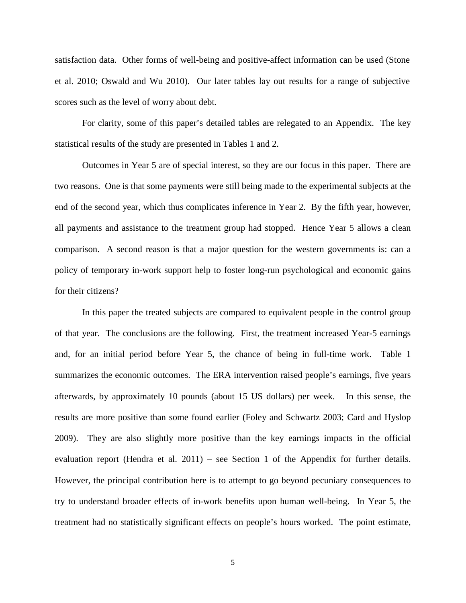satisfaction data. Other forms of well-being and positive-affect information can be used (Stone et al. 2010; Oswald and Wu 2010). Our later tables lay out results for a range of subjective scores such as the level of worry about debt.

For clarity, some of this paper's detailed tables are relegated to an Appendix. The key statistical results of the study are presented in Tables 1 and 2.

Outcomes in Year 5 are of special interest, so they are our focus in this paper. There are two reasons. One is that some payments were still being made to the experimental subjects at the end of the second year, which thus complicates inference in Year 2. By the fifth year, however, all payments and assistance to the treatment group had stopped. Hence Year 5 allows a clean comparison. A second reason is that a major question for the western governments is: can a policy of temporary in-work support help to foster long-run psychological and economic gains for their citizens?

In this paper the treated subjects are compared to equivalent people in the control group of that year. The conclusions are the following. First, the treatment increased Year-5 earnings and, for an initial period before Year 5, the chance of being in full-time work. Table 1 summarizes the economic outcomes. The ERA intervention raised people's earnings, five years afterwards, by approximately 10 pounds (about 15 US dollars) per week. In this sense, the results are more positive than some found earlier (Foley and Schwartz 2003; Card and Hyslop 2009). They are also slightly more positive than the key earnings impacts in the official evaluation report (Hendra et al. 2011) – see Section 1 of the Appendix for further details. However, the principal contribution here is to attempt to go beyond pecuniary consequences to try to understand broader effects of in-work benefits upon human well-being. In Year 5, the treatment had no statistically significant effects on people's hours worked. The point estimate,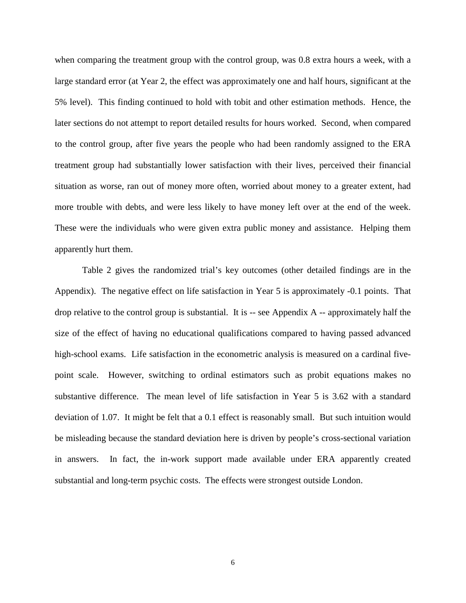when comparing the treatment group with the control group, was 0.8 extra hours a week, with a large standard error (at Year 2, the effect was approximately one and half hours, significant at the 5% level). This finding continued to hold with tobit and other estimation methods. Hence, the later sections do not attempt to report detailed results for hours worked. Second, when compared to the control group, after five years the people who had been randomly assigned to the ERA treatment group had substantially lower satisfaction with their lives, perceived their financial situation as worse, ran out of money more often, worried about money to a greater extent, had more trouble with debts, and were less likely to have money left over at the end of the week. These were the individuals who were given extra public money and assistance. Helping them apparently hurt them.

Table 2 gives the randomized trial's key outcomes (other detailed findings are in the Appendix). The negative effect on life satisfaction in Year 5 is approximately -0.1 points. That drop relative to the control group is substantial. It is -- see Appendix A -- approximately half the size of the effect of having no educational qualifications compared to having passed advanced high-school exams. Life satisfaction in the econometric analysis is measured on a cardinal fivepoint scale. However, switching to ordinal estimators such as probit equations makes no substantive difference. The mean level of life satisfaction in Year 5 is 3.62 with a standard deviation of 1.07. It might be felt that a 0.1 effect is reasonably small. But such intuition would be misleading because the standard deviation here is driven by people's cross-sectional variation in answers. In fact, the in-work support made available under ERA apparently created substantial and long-term psychic costs. The effects were strongest outside London.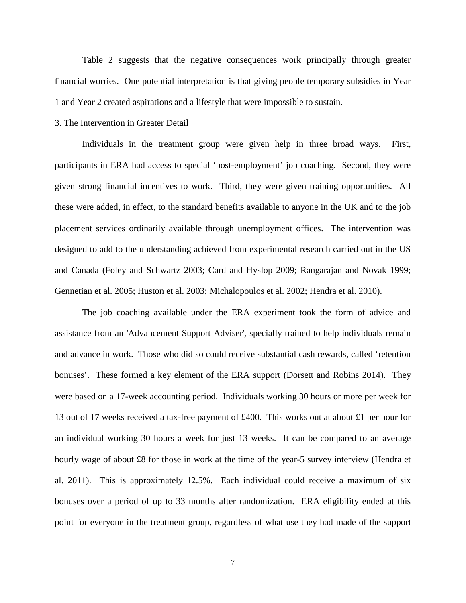Table 2 suggests that the negative consequences work principally through greater financial worries. One potential interpretation is that giving people temporary subsidies in Year 1 and Year 2 created aspirations and a lifestyle that were impossible to sustain.

#### 3. The Intervention in Greater Detail

Individuals in the treatment group were given help in three broad ways. First, participants in ERA had access to special 'post-employment' job coaching. Second, they were given strong financial incentives to work. Third, they were given training opportunities. All these were added, in effect, to the standard benefits available to anyone in the UK and to the job placement services ordinarily available through unemployment offices. The intervention was designed to add to the understanding achieved from experimental research carried out in the US and Canada (Foley and Schwartz 2003; Card and Hyslop 2009; Rangarajan and Novak 1999; Gennetian et al. 2005; Huston et al. 2003; Michalopoulos et al. 2002; Hendra et al. 2010).

The job coaching available under the ERA experiment took the form of advice and assistance from an 'Advancement Support Adviser', specially trained to help individuals remain and advance in work. Those who did so could receive substantial cash rewards, called 'retention bonuses'. These formed a key element of the ERA support (Dorsett and Robins 2014). They were based on a 17-week accounting period. Individuals working 30 hours or more per week for 13 out of 17 weeks received a tax-free payment of £400. This works out at about £1 per hour for an individual working 30 hours a week for just 13 weeks. It can be compared to an average hourly wage of about £8 for those in work at the time of the year-5 survey interview (Hendra et al. 2011). This is approximately 12.5%. Each individual could receive a maximum of six bonuses over a period of up to 33 months after randomization. ERA eligibility ended at this point for everyone in the treatment group, regardless of what use they had made of the support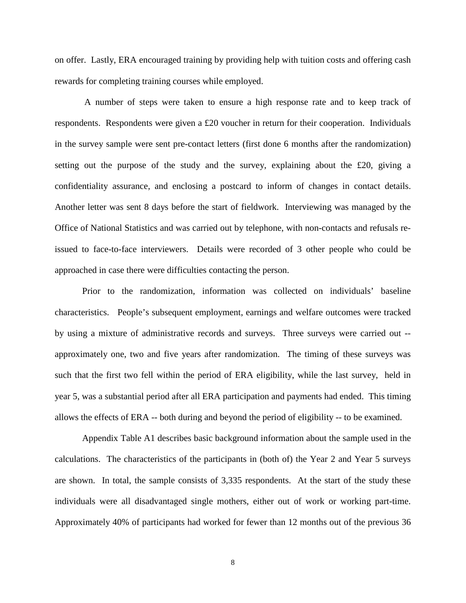on offer. Lastly, ERA encouraged training by providing help with tuition costs and offering cash rewards for completing training courses while employed.

A number of steps were taken to ensure a high response rate and to keep track of respondents. Respondents were given a £20 voucher in return for their cooperation. Individuals in the survey sample were sent pre-contact letters (first done 6 months after the randomization) setting out the purpose of the study and the survey, explaining about the £20, giving a confidentiality assurance, and enclosing a postcard to inform of changes in contact details. Another letter was sent 8 days before the start of fieldwork. Interviewing was managed by the Office of National Statistics and was carried out by telephone, with non-contacts and refusals reissued to face-to-face interviewers. Details were recorded of 3 other people who could be approached in case there were difficulties contacting the person.

Prior to the randomization, information was collected on individuals' baseline characteristics. People's subsequent employment, earnings and welfare outcomes were tracked by using a mixture of administrative records and surveys. Three surveys were carried out - approximately one, two and five years after randomization. The timing of these surveys was such that the first two fell within the period of ERA eligibility, while the last survey, held in year 5, was a substantial period after all ERA participation and payments had ended. This timing allows the effects of ERA -- both during and beyond the period of eligibility -- to be examined.

Appendix Table A1 describes basic background information about the sample used in the calculations. The characteristics of the participants in (both of) the Year 2 and Year 5 surveys are shown. In total, the sample consists of 3,335 respondents. At the start of the study these individuals were all disadvantaged single mothers, either out of work or working part-time. Approximately 40% of participants had worked for fewer than 12 months out of the previous 36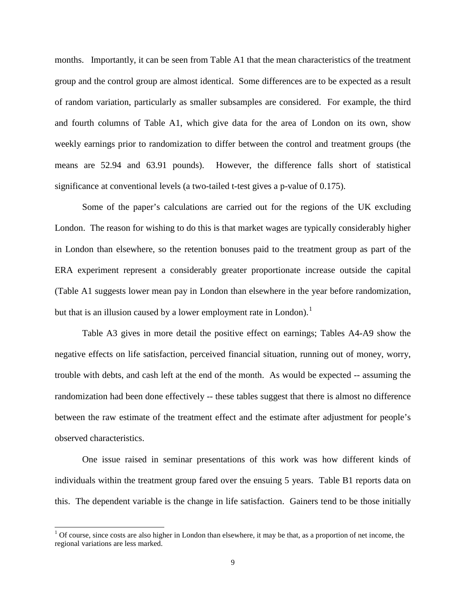months. Importantly, it can be seen from Table A1 that the mean characteristics of the treatment group and the control group are almost identical. Some differences are to be expected as a result of random variation, particularly as smaller subsamples are considered. For example, the third and fourth columns of Table A1, which give data for the area of London on its own, show weekly earnings prior to randomization to differ between the control and treatment groups (the means are 52.94 and 63.91 pounds). However, the difference falls short of statistical significance at conventional levels (a two-tailed t-test gives a p-value of 0.175).

Some of the paper's calculations are carried out for the regions of the UK excluding London. The reason for wishing to do this is that market wages are typically considerably higher in London than elsewhere, so the retention bonuses paid to the treatment group as part of the ERA experiment represent a considerably greater proportionate increase outside the capital (Table A1 suggests lower mean pay in London than elsewhere in the year before randomization, but that is an illusion caused by a lower employment rate in London).<sup>1</sup>

Table A3 gives in more detail the positive effect on earnings; Tables A4-A9 show the negative effects on life satisfaction, perceived financial situation, running out of money, worry, trouble with debts, and cash left at the end of the month. As would be expected -- assuming the randomization had been done effectively -- these tables suggest that there is almost no difference between the raw estimate of the treatment effect and the estimate after adjustment for people's observed characteristics.

One issue raised in seminar presentations of this work was how different kinds of individuals within the treatment group fared over the ensuing 5 years. Table B1 reports data on this. The dependent variable is the change in life satisfaction. Gainers tend to be those initially

<span id="page-10-0"></span> $1$  Of course, since costs are also higher in London than elsewhere, it may be that, as a proportion of net income, the regional variations are less marked.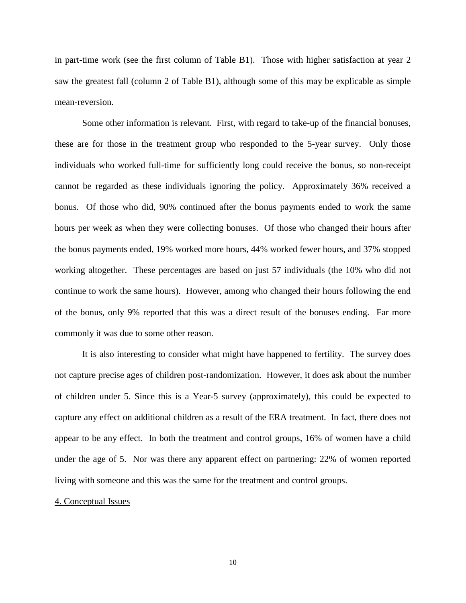in part-time work (see the first column of Table B1). Those with higher satisfaction at year 2 saw the greatest fall (column 2 of Table B1), although some of this may be explicable as simple mean-reversion.

Some other information is relevant. First, with regard to take-up of the financial bonuses, these are for those in the treatment group who responded to the 5-year survey. Only those individuals who worked full-time for sufficiently long could receive the bonus, so non-receipt cannot be regarded as these individuals ignoring the policy. Approximately 36% received a bonus. Of those who did, 90% continued after the bonus payments ended to work the same hours per week as when they were collecting bonuses. Of those who changed their hours after the bonus payments ended, 19% worked more hours, 44% worked fewer hours, and 37% stopped working altogether. These percentages are based on just 57 individuals (the 10% who did not continue to work the same hours). However, among who changed their hours following the end of the bonus, only 9% reported that this was a direct result of the bonuses ending. Far more commonly it was due to some other reason.

It is also interesting to consider what might have happened to fertility. The survey does not capture precise ages of children post-randomization. However, it does ask about the number of children under 5. Since this is a Year-5 survey (approximately), this could be expected to capture any effect on additional children as a result of the ERA treatment. In fact, there does not appear to be any effect. In both the treatment and control groups, 16% of women have a child under the age of 5. Nor was there any apparent effect on partnering: 22% of women reported living with someone and this was the same for the treatment and control groups.

#### 4. Conceptual Issues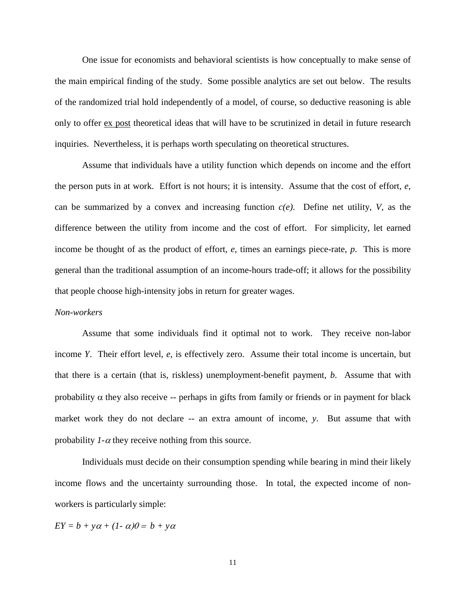One issue for economists and behavioral scientists is how conceptually to make sense of the main empirical finding of the study. Some possible analytics are set out below. The results of the randomized trial hold independently of a model, of course, so deductive reasoning is able only to offer ex post theoretical ideas that will have to be scrutinized in detail in future research inquiries. Nevertheless, it is perhaps worth speculating on theoretical structures.

Assume that individuals have a utility function which depends on income and the effort the person puts in at work. Effort is not hours; it is intensity. Assume that the cost of effort, *e*, can be summarized by a convex and increasing function *c(e)*. Define net utility, *V*, as the difference between the utility from income and the cost of effort. For simplicity, let earned income be thought of as the product of effort, *e*, times an earnings piece-rate, *p*. This is more general than the traditional assumption of an income-hours trade-off; it allows for the possibility that people choose high-intensity jobs in return for greater wages.

#### *Non-workers*

Assume that some individuals find it optimal not to work. They receive non-labor income *Y*. Their effort level, *e*, is effectively zero. Assume their total income is uncertain, but that there is a certain (that is, riskless) unemployment-benefit payment, *b*. Assume that with probability  $\alpha$  they also receive -- perhaps in gifts from family or friends or in payment for black market work they do not declare -- an extra amount of income, *y*. But assume that with probability  $1-\alpha$  they receive nothing from this source.

Individuals must decide on their consumption spending while bearing in mind their likely income flows and the uncertainty surrounding those. In total, the expected income of nonworkers is particularly simple:

$$
EY = b + y\alpha + (1 - \alpha)\theta = b + y\alpha
$$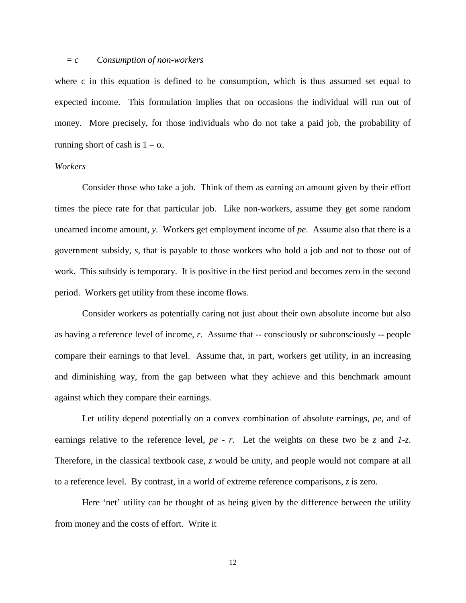#### *= c Consumption of non-workers*

where  $c$  in this equation is defined to be consumption, which is thus assumed set equal to expected income. This formulation implies that on occasions the individual will run out of money. More precisely, for those individuals who do not take a paid job, the probability of running short of cash is  $1 - \alpha$ .

#### *Workers*

Consider those who take a job. Think of them as earning an amount given by their effort times the piece rate for that particular job. Like non-workers, assume they get some random unearned income amount, *y*. Workers get employment income of *pe*. Assume also that there is a government subsidy, *s*, that is payable to those workers who hold a job and not to those out of work. This subsidy is temporary. It is positive in the first period and becomes zero in the second period. Workers get utility from these income flows.

Consider workers as potentially caring not just about their own absolute income but also as having a reference level of income, *r*. Assume that -- consciously or subconsciously -- people compare their earnings to that level. Assume that, in part, workers get utility, in an increasing and diminishing way, from the gap between what they achieve and this benchmark amount against which they compare their earnings.

Let utility depend potentially on a convex combination of absolute earnings, *pe*, and of earnings relative to the reference level, *pe - r*. Let the weights on these two be *z* and *1-z*. Therefore, in the classical textbook case, *z* would be unity, and people would not compare at all to a reference level. By contrast, in a world of extreme reference comparisons, *z* is zero.

Here 'net' utility can be thought of as being given by the difference between the utility from money and the costs of effort. Write it

12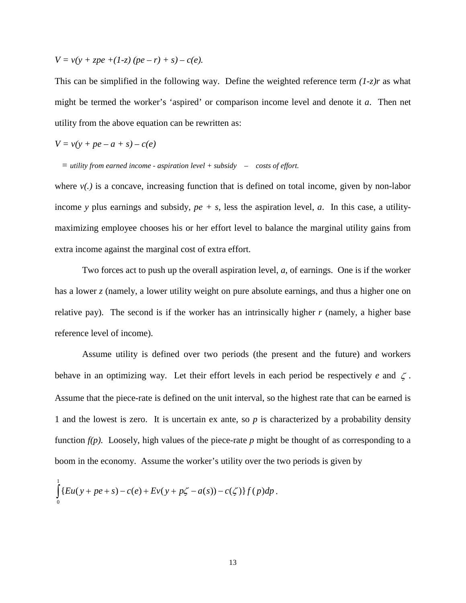$$
V = v(y + zpe + (1-z) (pe - r) + s) - c(e).
$$

This can be simplified in the following way. Define the weighted reference term *(1-z)r* as what might be termed the worker's 'aspired' or comparison income level and denote it *a*. Then net utility from the above equation can be rewritten as:

$$
V = v(y + pe - a + s) - c(e)
$$

 *= utility from earned income - aspiration level + subsidy – costs of effort.*

where  $v(.)$  is a concave, increasing function that is defined on total income, given by non-labor income y plus earnings and subsidy,  $pe + s$ , less the aspiration level, *a*. In this case, a utilitymaximizing employee chooses his or her effort level to balance the marginal utility gains from extra income against the marginal cost of extra effort.

Two forces act to push up the overall aspiration level, *a*, of earnings. One is if the worker has a lower *z* (namely, a lower utility weight on pure absolute earnings, and thus a higher one on relative pay). The second is if the worker has an intrinsically higher *r* (namely, a higher base reference level of income).

Assume utility is defined over two periods (the present and the future) and workers behave in an optimizing way. Let their effort levels in each period be respectively *e* and ζ . Assume that the piece-rate is defined on the unit interval, so the highest rate that can be earned is 1 and the lowest is zero. It is uncertain ex ante, so *p* is characterized by a probability density function  $f(p)$ . Loosely, high values of the piece-rate p might be thought of as corresponding to a boom in the economy. Assume the worker's utility over the two periods is given by

$$
\int_{0}^{1} \{Eu(y + pe + s) - c(e) + Ev(y + p\zeta - a(s)) - c(\zeta)\} f(p) dp.
$$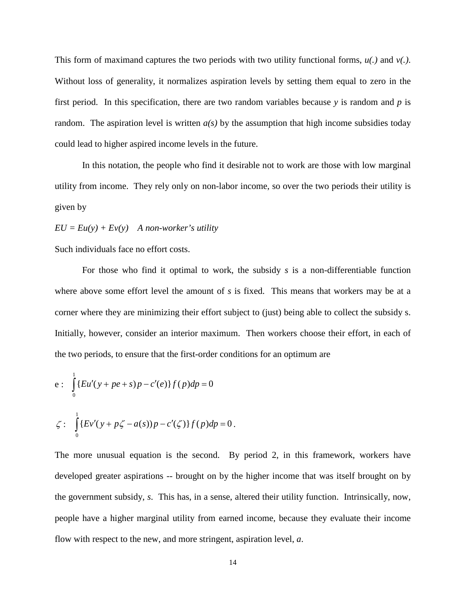This form of maximand captures the two periods with two utility functional forms, *u(.)* and *v(.)*. Without loss of generality, it normalizes aspiration levels by setting them equal to zero in the first period. In this specification, there are two random variables because *y* is random and *p* is random. The aspiration level is written  $a(s)$  by the assumption that high income subsidies today could lead to higher aspired income levels in the future.

In this notation, the people who find it desirable not to work are those with low marginal utility from income. They rely only on non-labor income, so over the two periods their utility is given by

 $EU = Eu(y) + Ev(y)$  A non-worker's utility

Such individuals face no effort costs.

For those who find it optimal to work, the subsidy *s* is a non-differentiable function where above some effort level the amount of *s* is fixed. This means that workers may be at a corner where they are minimizing their effort subject to (just) being able to collect the subsidy s. Initially, however, consider an interior maximum. Then workers choose their effort, in each of the two periods, to ensure that the first-order conditions for an optimum are

e: 
$$
\int_{0}^{1} \{Eu'(y + pe + s)p - c'(e)\} f(p) dp = 0
$$

$$
\zeta: \int_{0}^{1} \{Ev'(y+p\zeta-a(s))p-c'(\zeta)\}f(p)dp=0.
$$

The more unusual equation is the second. By period 2, in this framework, workers have developed greater aspirations -- brought on by the higher income that was itself brought on by the government subsidy, *s*. This has, in a sense, altered their utility function. Intrinsically, now, people have a higher marginal utility from earned income, because they evaluate their income flow with respect to the new, and more stringent, aspiration level, *a*.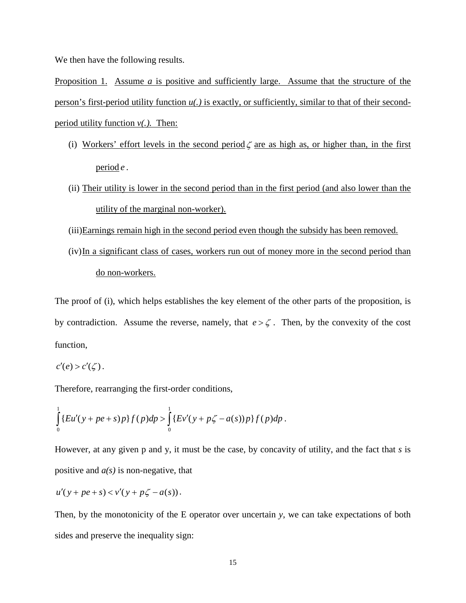We then have the following results.

Proposition 1. Assume *a* is positive and sufficiently large. Assume that the structure of the person's first-period utility function *u(.)* is exactly, or sufficiently, similar to that of their secondperiod utility function *v(.).* Then:

- (i) Workers' effort levels in the second period  $\zeta$  are as high as, or higher than, in the first period *e* .
- (ii) Their utility is lower in the second period than in the first period (and also lower than the utility of the marginal non-worker).
- (iii)Earnings remain high in the second period even though the subsidy has been removed.
- (iv)In a significant class of cases, workers run out of money more in the second period than do non-workers.

The proof of (i), which helps establishes the key element of the other parts of the proposition, is by contradiction. Assume the reverse, namely, that  $e > \zeta$ . Then, by the convexity of the cost function,

$$
c'(e) > c'(\zeta).
$$

Therefore, rearranging the first-order conditions,

$$
\int_{0}^{1} \{Eu'(y+pe+s)p\}f(p)dp > \int_{0}^{1} \{Ev'(y+p\zeta-a(s))p\}f(p)dp.
$$

However, at any given p and y, it must be the case, by concavity of utility, and the fact that *s* is positive and *a(s)* is non-negative, that

$$
u'(y+pe+s) < v'(y+p\zeta-a(s)).
$$

Then, by the monotonicity of the E operator over uncertain *y*, we can take expectations of both sides and preserve the inequality sign: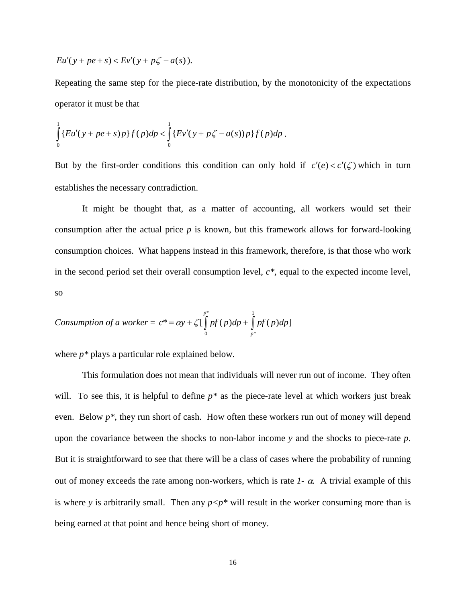$$
Eu'(y + pe + s) < Ev'(y + p\zeta - a(s)).
$$

Repeating the same step for the piece-rate distribution, by the monotonicity of the expectations operator it must be that

$$
\int_{0}^{1} \{Eu'(y+pe+s)p\}f(p)dp < \int_{0}^{1} \{Ev'(y+p\zeta-a(s))p\}f(p)dp.
$$

But by the first-order conditions this condition can only hold if  $c'(e) < c'(\zeta)$  which in turn establishes the necessary contradiction.

It might be thought that, as a matter of accounting, all workers would set their consumption after the actual price *p* is known, but this framework allows for forward-looking consumption choices. What happens instead in this framework, therefore, is that those who work in the second period set their overall consumption level, *c\*,* equal to the expected income level, so

$$
Construction of a worker = c^* = \alpha y + \zeta \left[ \int_0^{p^*} pf(p) dp + \int_{p^*}^1 pf(p) dp \right]
$$

where *p\** plays a particular role explained below.

This formulation does not mean that individuals will never run out of income. They often will. To see this, it is helpful to define  $p^*$  as the piece-rate level at which workers just break even. Below *p\**, they run short of cash. How often these workers run out of money will depend upon the covariance between the shocks to non-labor income *y* and the shocks to piece-rate *p*. But it is straightforward to see that there will be a class of cases where the probability of running out of money exceeds the rate among non-workers, which is rate  $1 - \alpha$ . A trivial example of this is where *y* is arbitrarily small. Then any  $p \leq p^*$  will result in the worker consuming more than is being earned at that point and hence being short of money.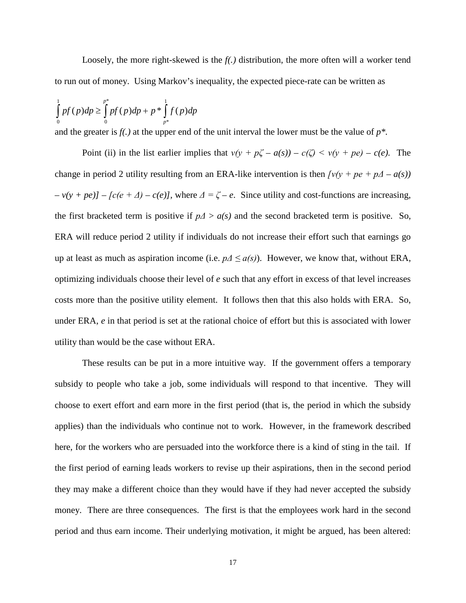Loosely, the more right-skewed is the *f(.)* distribution, the more often will a worker tend to run out of money. Using Markov's inequality, the expected piece-rate can be written as

$$
\int_{0}^{1} pf(p)dp \ge \int_{0}^{p^*} pf(p)dp + p^* \int_{p^*}^{1} f(p)dp
$$

and the greater is *f(.)* at the upper end of the unit interval the lower must be the value of *p\*.*

Point (ii) in the list earlier implies that  $v(y + p\zeta - a(s)) - c(\zeta) \le v(y + pe) - c(e)$ . The change in period 2 utility resulting from an ERA-like intervention is then  $\frac{f v(y + pe + p\Delta - a(s))}{h}$  $(v + pe)$ ] – [c(e + Δ) – c(e)], where  $\Delta = \zeta - e$ . Since utility and cost-functions are increasing, the first bracketed term is positive if  $p\Delta > a(s)$  and the second bracketed term is positive. So, ERA will reduce period 2 utility if individuals do not increase their effort such that earnings go up at least as much as aspiration income (i.e.  $p\Delta \le a(s)$ ). However, we know that, without ERA, optimizing individuals choose their level of *e* such that any effort in excess of that level increases costs more than the positive utility element. It follows then that this also holds with ERA. So, under ERA, *e* in that period is set at the rational choice of effort but this is associated with lower utility than would be the case without ERA.

These results can be put in a more intuitive way. If the government offers a temporary subsidy to people who take a job, some individuals will respond to that incentive. They will choose to exert effort and earn more in the first period (that is, the period in which the subsidy applies) than the individuals who continue not to work. However, in the framework described here, for the workers who are persuaded into the workforce there is a kind of sting in the tail. If the first period of earning leads workers to revise up their aspirations, then in the second period they may make a different choice than they would have if they had never accepted the subsidy money. There are three consequences. The first is that the employees work hard in the second period and thus earn income. Their underlying motivation, it might be argued, has been altered: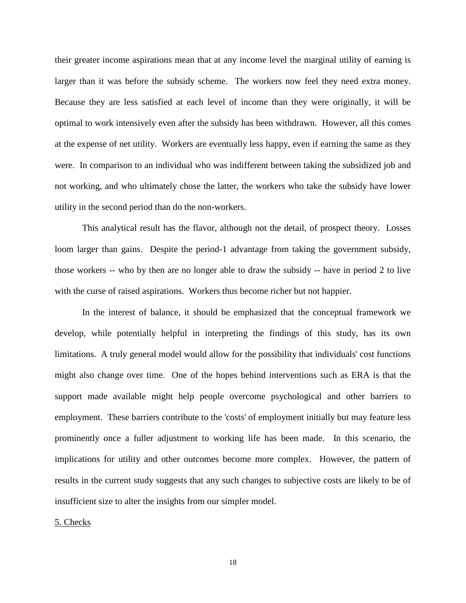their greater income aspirations mean that at any income level the marginal utility of earning is larger than it was before the subsidy scheme. The workers now feel they need extra money. Because they are less satisfied at each level of income than they were originally, it will be optimal to work intensively even after the subsidy has been withdrawn. However, all this comes at the expense of net utility. Workers are eventually less happy, even if earning the same as they were. In comparison to an individual who was indifferent between taking the subsidized job and not working, and who ultimately chose the latter, the workers who take the subsidy have lower utility in the second period than do the non-workers.

This analytical result has the flavor, although not the detail, of prospect theory. Losses loom larger than gains. Despite the period-1 advantage from taking the government subsidy, those workers -- who by then are no longer able to draw the subsidy -- have in period 2 to live with the curse of raised aspirations. Workers thus become richer but not happier.

In the interest of balance, it should be emphasized that the conceptual framework we develop, while potentially helpful in interpreting the findings of this study, has its own limitations. A truly general model would allow for the possibility that individuals' cost functions might also change over time. One of the hopes behind interventions such as ERA is that the support made available might help people overcome psychological and other barriers to employment. These barriers contribute to the 'costs' of employment initially but may feature less prominently once a fuller adjustment to working life has been made. In this scenario, the implications for utility and other outcomes become more complex. However, the pattern of results in the current study suggests that any such changes to subjective costs are likely to be of insufficient size to alter the insights from our simpler model.

5. Checks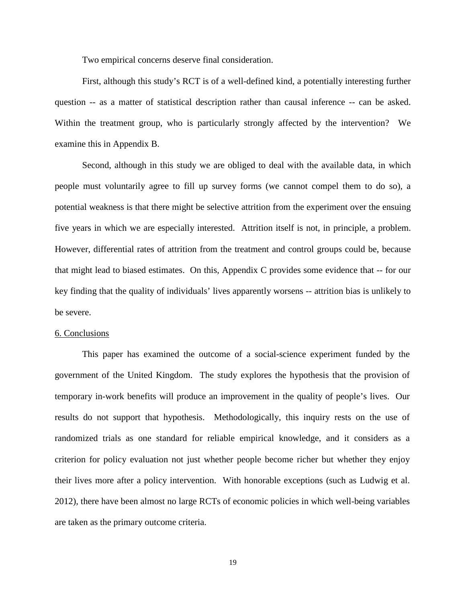Two empirical concerns deserve final consideration.

First, although this study's RCT is of a well-defined kind, a potentially interesting further question -- as a matter of statistical description rather than causal inference -- can be asked. Within the treatment group, who is particularly strongly affected by the intervention? We examine this in Appendix B.

Second, although in this study we are obliged to deal with the available data, in which people must voluntarily agree to fill up survey forms (we cannot compel them to do so), a potential weakness is that there might be selective attrition from the experiment over the ensuing five years in which we are especially interested. Attrition itself is not, in principle, a problem. However, differential rates of attrition from the treatment and control groups could be, because that might lead to biased estimates. On this, Appendix C provides some evidence that -- for our key finding that the quality of individuals' lives apparently worsens -- attrition bias is unlikely to be severe.

#### 6. Conclusions

This paper has examined the outcome of a social-science experiment funded by the government of the United Kingdom. The study explores the hypothesis that the provision of temporary in-work benefits will produce an improvement in the quality of people's lives. Our results do not support that hypothesis. Methodologically, this inquiry rests on the use of randomized trials as one standard for reliable empirical knowledge, and it considers as a criterion for policy evaluation not just whether people become richer but whether they enjoy their lives more after a policy intervention. With honorable exceptions (such as Ludwig et al. 2012), there have been almost no large RCTs of economic policies in which well-being variables are taken as the primary outcome criteria.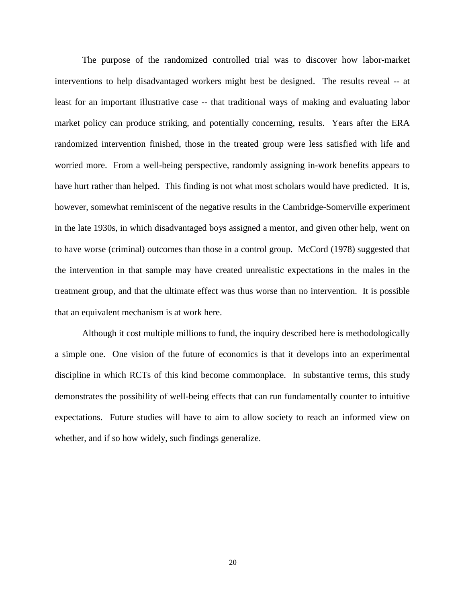The purpose of the randomized controlled trial was to discover how labor-market interventions to help disadvantaged workers might best be designed. The results reveal -- at least for an important illustrative case -- that traditional ways of making and evaluating labor market policy can produce striking, and potentially concerning, results. Years after the ERA randomized intervention finished, those in the treated group were less satisfied with life and worried more. From a well-being perspective, randomly assigning in-work benefits appears to have hurt rather than helped. This finding is not what most scholars would have predicted. It is, however, somewhat reminiscent of the negative results in the Cambridge-Somerville experiment in the late 1930s, in which disadvantaged boys assigned a mentor, and given other help, went on to have worse (criminal) outcomes than those in a control group. McCord (1978) suggested that the intervention in that sample may have created unrealistic expectations in the males in the treatment group, and that the ultimate effect was thus worse than no intervention. It is possible that an equivalent mechanism is at work here.

Although it cost multiple millions to fund, the inquiry described here is methodologically a simple one. One vision of the future of economics is that it develops into an experimental discipline in which RCTs of this kind become commonplace. In substantive terms, this study demonstrates the possibility of well-being effects that can run fundamentally counter to intuitive expectations. Future studies will have to aim to allow society to reach an informed view on whether, and if so how widely, such findings generalize.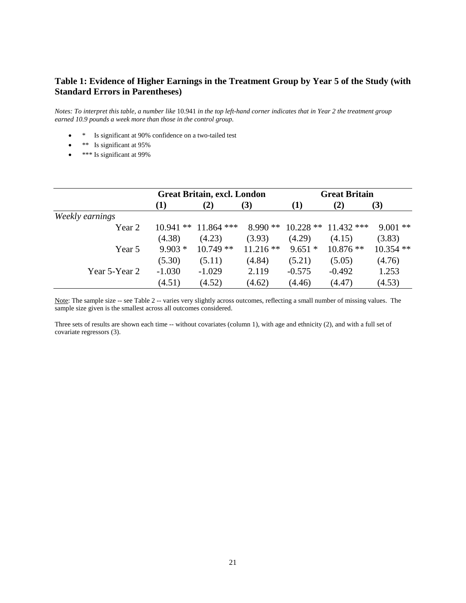# **Table 1: Evidence of Higher Earnings in the Treatment Group by Year 5 of the Study (with Standard Errors in Parentheses)**

*Notes: To interpret this table, a number like* 10.941 *in the top left-hand corner indicates that in Year 2 the treatment group earned 10.9 pounds a week more than those in the control group.*

- \* Is significant at 90% confidence on a two-tailed test
- \*\* Is significant at 95%
- **\*\*\*** Is significant at 99%

|                 | <b>Great Britain, excl. London</b> |              |            | <b>Great Britain</b> |              |             |  |
|-----------------|------------------------------------|--------------|------------|----------------------|--------------|-------------|--|
|                 | (1)                                | (2)          | (3)        | (1)                  | (2)          | (3)         |  |
| Weekly earnings |                                    |              |            |                      |              |             |  |
| Year 2          | $10.941$ **                        | $11.864$ *** | $8.990**$  | $10.228$ **          | $11.432$ *** | $9.001$ **  |  |
|                 | (4.38)                             | (4.23)       | (3.93)     | (4.29)               | (4.15)       | (3.83)      |  |
| Year 5          | $9.903*$                           | $10.749**$   | $11.216**$ | $9.651*$             | $10.876**$   | $10.354$ ** |  |
|                 | (5.30)                             | (5.11)       | (4.84)     | (5.21)               | (5.05)       | (4.76)      |  |
| Year 5-Year 2   | $-1.030$                           | $-1.029$     | 2.119      | $-0.575$             | $-0.492$     | 1.253       |  |
|                 | (4.51)                             | (4.52)       | (4.62)     | (4.46)               | (4.47)       | (4.53)      |  |

Note: The sample size -- see Table 2 -- varies very slightly across outcomes, reflecting a small number of missing values. The sample size given is the smallest across all outcomes considered.

Three sets of results are shown each time -- without covariates (column 1), with age and ethnicity (2), and with a full set of covariate regressors (3).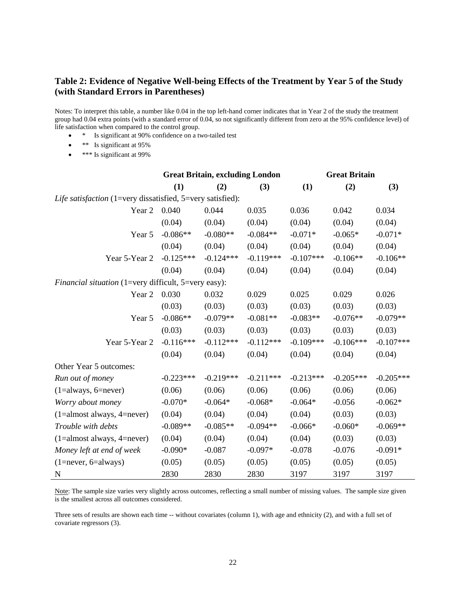# **Table 2: Evidence of Negative Well-being Effects of the Treatment by Year 5 of the Study (with Standard Errors in Parentheses)**

Notes: To interpret this table, a number like 0.04 in the top left-hand corner indicates that in Year 2 of the study the treatment group had 0.04 extra points (with a standard error of 0.04, so not significantly different from zero at the 95% confidence level) of life satisfaction when compared to the control group.

- \* Is significant at 90% confidence on a two-tailed test
- \*\* Is significant at 95%
- \*\*\* Is significant at 99%

|                                                            |             | <b>Great Britain, excluding London</b> |             |             | <b>Great Britain</b> |             |
|------------------------------------------------------------|-------------|----------------------------------------|-------------|-------------|----------------------|-------------|
|                                                            | (1)         | (2)                                    | (3)         | (1)         | (2)                  | (3)         |
| Life satisfaction (1=very dissatisfied, 5=very satisfied): |             |                                        |             |             |                      |             |
| Year 2                                                     | 0.040       | 0.044                                  | 0.035       | 0.036       | 0.042                | 0.034       |
|                                                            | (0.04)      | (0.04)                                 | (0.04)      | (0.04)      | (0.04)               | (0.04)      |
| Year 5                                                     | $-0.086**$  | $-0.080**$                             | $-0.084**$  | $-0.071*$   | $-0.065*$            | $-0.071*$   |
|                                                            | (0.04)      | (0.04)                                 | (0.04)      | (0.04)      | (0.04)               | (0.04)      |
| Year 5-Year 2                                              | $-0.125***$ | $-0.124***$                            | $-0.119***$ | $-0.107***$ | $-0.106**$           | $-0.106**$  |
|                                                            | (0.04)      | (0.04)                                 | (0.04)      | (0.04)      | (0.04)               | (0.04)      |
| Financial situation (1=very difficult, 5=very easy):       |             |                                        |             |             |                      |             |
| Year 2                                                     | 0.030       | 0.032                                  | 0.029       | 0.025       | 0.029                | 0.026       |
|                                                            | (0.03)      | (0.03)                                 | (0.03)      | (0.03)      | (0.03)               | (0.03)      |
| Year 5                                                     | $-0.086**$  | $-0.079**$                             | $-0.081**$  | $-0.083**$  | $-0.076**$           | $-0.079**$  |
|                                                            | (0.03)      | (0.03)                                 | (0.03)      | (0.03)      | (0.03)               | (0.03)      |
| Year 5-Year 2                                              | $-0.116***$ | $-0.112***$                            | $-0.112***$ | $-0.109***$ | $-0.106***$          | $-0.107***$ |
|                                                            | (0.04)      | (0.04)                                 | (0.04)      | (0.04)      | (0.04)               | (0.04)      |
| Other Year 5 outcomes:                                     |             |                                        |             |             |                      |             |
| Run out of money                                           | $-0.223***$ | $-0.219***$                            | $-0.211***$ | $-0.213***$ | $-0.205***$          | $-0.205***$ |
| $(1 = always, 6 = never)$                                  | (0.06)      | (0.06)                                 | (0.06)      | (0.06)      | (0.06)               | (0.06)      |
| Worry about money                                          | $-0.070*$   | $-0.064*$                              | $-0.068*$   | $-0.064*$   | $-0.056$             | $-0.062*$   |
| $(1=almost always, 4=never)$                               | (0.04)      | (0.04)                                 | (0.04)      | (0.04)      | (0.03)               | (0.03)      |
| Trouble with debts                                         | $-0.089**$  | $-0.085**$                             | $-0.094**$  | $-0.066*$   | $-0.060*$            | $-0.069**$  |
| $(1=almost always, 4=never)$                               | (0.04)      | (0.04)                                 | (0.04)      | (0.04)      | (0.03)               | (0.03)      |
| Money left at end of week                                  | $-0.090*$   | $-0.087$                               | $-0.097*$   | $-0.078$    | $-0.076$             | $-0.091*$   |
| $(1 = never, 6 = always)$                                  | (0.05)      | (0.05)                                 | (0.05)      | (0.05)      | (0.05)               | (0.05)      |
| $\mathbf N$                                                | 2830        | 2830                                   | 2830        | 3197        | 3197                 | 3197        |

Note: The sample size varies very slightly across outcomes, reflecting a small number of missing values. The sample size given is the smallest across all outcomes considered.

Three sets of results are shown each time -- without covariates (column 1), with age and ethnicity (2), and with a full set of covariate regressors (3).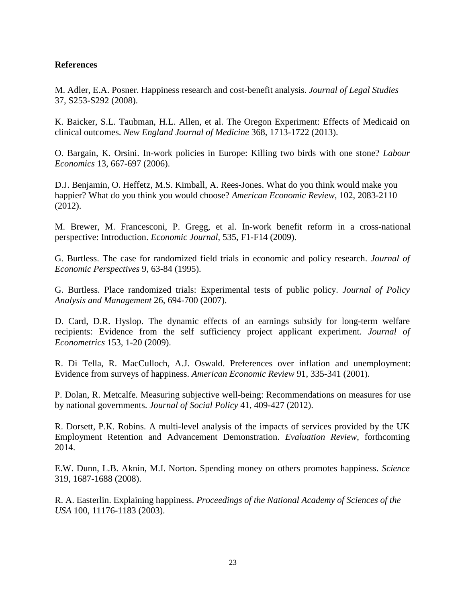### **References**

M. Adler, E.A. Posner. Happiness research and cost-benefit analysis. *Journal of Legal Studies* 37, S253-S292 (2008).

K. Baicker, S.L. Taubman, H.L. Allen, et al. The Oregon Experiment: Effects of Medicaid on clinical outcomes. *New England Journal of Medicine* 368, 1713-1722 (2013).

O. Bargain, K. Orsini. In-work policies in Europe: Killing two birds with one stone? *Labour Economics* 13, 667-697 (2006).

D.J. Benjamin, O. Heffetz, M.S. Kimball, A. Rees-Jones. What do you think would make you happier? What do you think you would choose? *American Economic Review*, 102, 2083-2110 (2012).

M. Brewer, M. Francesconi, P. Gregg, et al. In-work benefit reform in a cross-national perspective: Introduction. *Economic Journal*, 535, F1-F14 (2009).

G. Burtless. The case for randomized field trials in economic and policy research. *Journal of Economic Perspectives* 9, 63-84 (1995).

G. Burtless. Place randomized trials: Experimental tests of public policy. *Journal of Policy Analysis and Management* 26, 694-700 (2007).

D. Card, D.R. Hyslop. The dynamic effects of an earnings subsidy for long-term welfare recipients: Evidence from the self sufficiency project applicant experiment. *Journal of Econometrics* 153, 1-20 (2009).

R. Di Tella, R. MacCulloch, A.J. Oswald. Preferences over inflation and unemployment: Evidence from surveys of happiness. *American Economic Review* 91, 335-341 (2001).

P. Dolan, R. Metcalfe. Measuring subjective well-being: Recommendations on measures for use by national governments. *Journal of Social Policy* 41, 409-427 (2012).

R. Dorsett, P.K. Robins. A multi-level analysis of the impacts of services provided by the UK Employment Retention and Advancement Demonstration. *Evaluation Review*, forthcoming 2014.

E.W. Dunn, L.B. Aknin, M.I. Norton. Spending money on others promotes happiness. *Science* 319, 1687-1688 (2008).

R. A. Easterlin. Explaining happiness. *Proceedings of the National Academy of Sciences of the USA* 100, 11176-1183 (2003).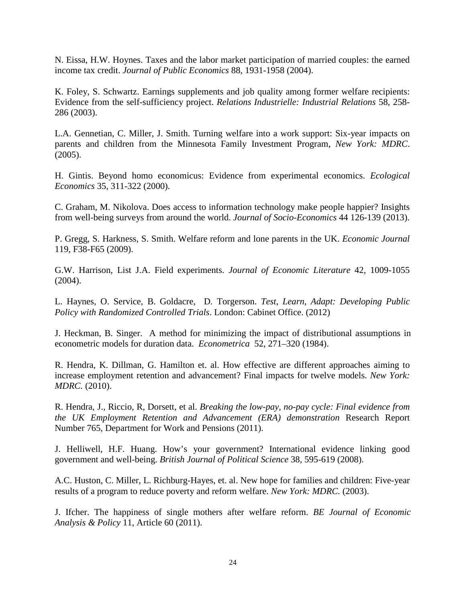N. Eissa, H.W. Hoynes. Taxes and the labor market participation of married couples: the earned income tax credit. *Journal of Public Economics* 88, 1931-1958 (2004).

K. Foley, S. Schwartz. Earnings supplements and job quality among former welfare recipients: Evidence from the self-sufficiency project. *Relations Industrielle: Industrial Relations* 58, 258- 286 (2003).

L.A. Gennetian, C. Miller, J. Smith. Turning welfare into a work support: Six-year impacts on parents and children from the Minnesota Family Investment Program, *New York: MDRC*. (2005).

H. Gintis. Beyond homo economicus: Evidence from experimental economics. *Ecological Economics* 35, 311-322 (2000).

C. Graham, M. Nikolova. Does access to information technology make people happier? Insights from well-being surveys from around the world. *Journal of Socio-Economics* 44 126-139 (2013).

P. Gregg, S. Harkness, S. Smith. Welfare reform and lone parents in the UK. *Economic Journal* 119, F38-F65 (2009).

G.W. Harrison, List J.A. Field experiments. *Journal of Economic Literature* 42, 1009-1055 (2004).

L. Haynes, O. Service, B. Goldacre, D. Torgerson. *Test, Learn, Adapt: Developing Public Policy with Randomized Controlled Trials*. London: Cabinet Office. (2012)

J. Heckman, B. Singer. A method for minimizing the impact of distributional assumptions in econometric models for duration data. *Econometrica* 52, 271–320 (1984).

R. Hendra, K. Dillman, G. Hamilton et. al. How effective are different approaches aiming to increase employment retention and advancement? Final impacts for twelve models. *New York: MDRC.* (2010).

R. Hendra, J., Riccio, R, Dorsett, et al. *Breaking the low-pay, no-pay cycle: Final evidence from the UK Employment Retention and Advancement (ERA) demonstration* Research Report Number 765, Department for Work and Pensions (2011).

J. Helliwell, H.F. Huang. How's your government? International evidence linking good government and well-being. *British Journal of Political Science* 38, 595-619 (2008).

A.C. Huston, C. Miller, L. Richburg-Hayes, et. al. New hope for families and children: Five-year results of a program to reduce poverty and reform welfare. *New York: MDRC.* (2003).

J. Ifcher. The happiness of single mothers after welfare reform. *BE Journal of Economic Analysis & Policy* 11, Article 60 (2011).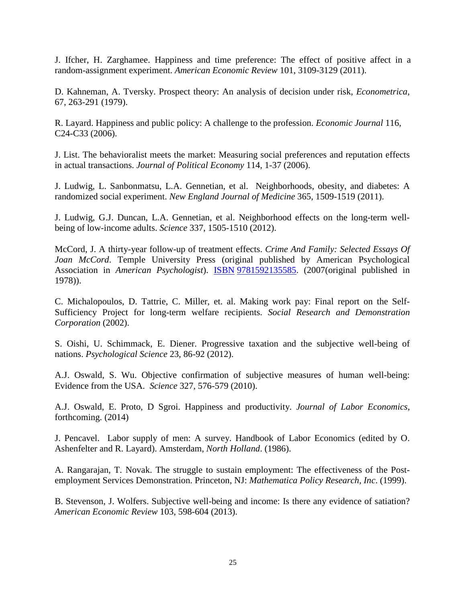J. Ifcher, H. Zarghamee. Happiness and time preference: The effect of positive affect in a random-assignment experiment. *American Economic Review* 101, 3109-3129 (2011).

D. Kahneman, A. Tversky. Prospect theory: An analysis of decision under risk, *Econometrica*, 67, 263-291 (1979).

R. Layard. Happiness and public policy: A challenge to the profession. *Economic Journal* 116, C24-C33 (2006).

J. List. The behavioralist meets the market: Measuring social preferences and reputation effects in actual transactions. *Journal of Political Economy* 114, 1-37 (2006).

J. Ludwig, L. Sanbonmatsu, L.A. Gennetian, et al. Neighborhoods, obesity, and diabetes: A randomized social experiment. *New England Journal of Medicine* 365, 1509-1519 (2011).

J. Ludwig, G.J. Duncan, L.A. Gennetian, et al. Neighborhood effects on the long-term wellbeing of low-income adults. *Science* 337, 1505-1510 (2012).

McCord, J. A thirty-year follow-up of treatment effects. *Crime And Family: Selected Essays Of Joan McCord*. Temple University Press (original published by American Psychological Association in *American Psychologist*). [ISBN](http://en.wikipedia.org/wiki/International_Standard_Book_Number) [9781592135585.](http://en.wikipedia.org/wiki/Special:BookSources/9781592135585) (2007(original published in 1978)).

C. Michalopoulos, D. Tattrie, C. Miller, et. al. Making work pay: Final report on the Self-Sufficiency Project for long-term welfare recipients. *Social Research and Demonstration Corporation* (2002).

S. Oishi, U. Schimmack, E. Diener. Progressive taxation and the subjective well-being of nations. *Psychological Science* 23, 86-92 (2012).

A.J. Oswald, S. Wu. Objective confirmation of subjective measures of human well-being: Evidence from the USA. *Science* 327, 576-579 (2010).

A.J. Oswald, E. Proto, D Sgroi. Happiness and productivity. *Journal of Labor Economics*, forthcoming. (2014)

J. Pencavel. Labor supply of men: A survey. Handbook of Labor Economics (edited by O. Ashenfelter and R. Layard). Amsterdam, *North Holland*. (1986).

A. Rangarajan, T. Novak. The struggle to sustain employment: The effectiveness of the Postemployment Services Demonstration. Princeton, NJ: *Mathematica Policy Research, Inc*. (1999).

B. Stevenson, J. Wolfers. Subjective well-being and income: Is there any evidence of satiation? *American Economic Review* 103, 598-604 (2013).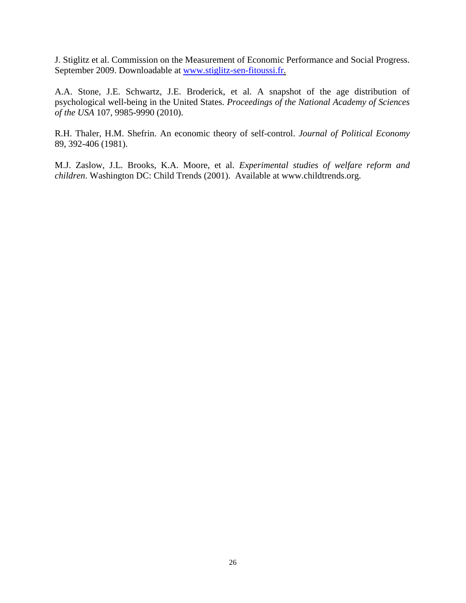J. Stiglitz et al. Commission on the Measurement of Economic Performance and Social Progress. September 2009. Downloadable at [www.stiglitz-sen-fitoussi.fr.](http://www.stiglitz-sen-fitoussi.fr/)

A.A. Stone, J.E. Schwartz, J.E. Broderick, et al. A snapshot of the age distribution of psychological well-being in the United States. *Proceedings of the National Academy of Sciences of the USA* 107, 9985-9990 (2010).

R.H. Thaler, H.M. Shefrin. An economic theory of self-control. *Journal of Political Economy* 89, 392-406 (1981).

M.J. Zaslow, J.L. Brooks, K.A. Moore, et al. *Experimental studies of welfare reform and children*. Washington DC: Child Trends (2001). Available at www.childtrends.org.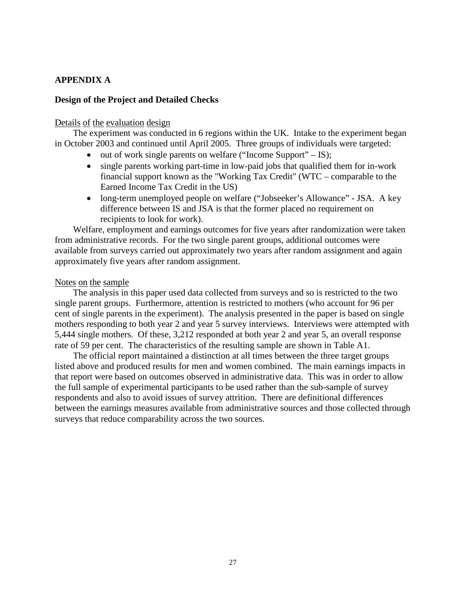# **APPENDIX A**

### **Design of the Project and Detailed Checks**

#### Details of the evaluation design

The experiment was conducted in 6 regions within the UK. Intake to the experiment began in October 2003 and continued until April 2005. Three groups of individuals were targeted:

- out of work single parents on welfare ("Income Support" IS);
- single parents working part-time in low-paid jobs that qualified them for in-work financial support known as the "Working Tax Credit" (WTC – comparable to the Earned Income Tax Credit in the US)
- long-term unemployed people on welfare ("Jobseeker's Allowance" JSA. A key difference between IS and JSA is that the former placed no requirement on recipients to look for work).

Welfare, employment and earnings outcomes for five years after randomization were taken from administrative records. For the two single parent groups, additional outcomes were available from surveys carried out approximately two years after random assignment and again approximately five years after random assignment.

#### Notes on the sample

The analysis in this paper used data collected from surveys and so is restricted to the two single parent groups. Furthermore, attention is restricted to mothers (who account for 96 per cent of single parents in the experiment). The analysis presented in the paper is based on single mothers responding to both year 2 and year 5 survey interviews. Interviews were attempted with 5,444 single mothers. Of these, 3,212 responded at both year 2 and year 5, an overall response rate of 59 per cent. The characteristics of the resulting sample are shown in Table A1.

The official report maintained a distinction at all times between the three target groups listed above and produced results for men and women combined. The main earnings impacts in that report were based on outcomes observed in administrative data. This was in order to allow the full sample of experimental participants to be used rather than the sub-sample of survey respondents and also to avoid issues of survey attrition. There are definitional differences between the earnings measures available from administrative sources and those collected through surveys that reduce comparability across the two sources.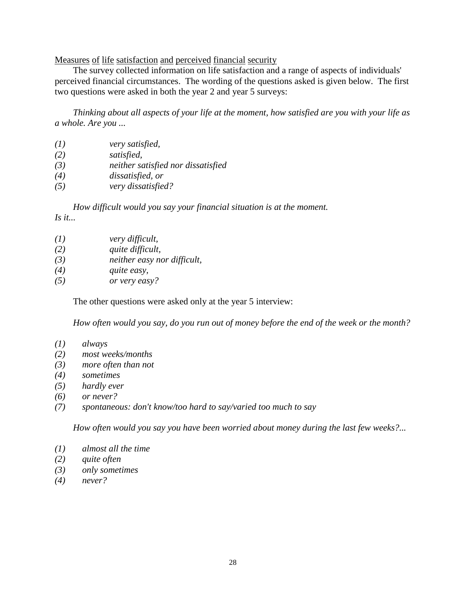Measures of life satisfaction and perceived financial security

The survey collected information on life satisfaction and a range of aspects of individuals' perceived financial circumstances. The wording of the questions asked is given below. The first two questions were asked in both the year 2 and year 5 surveys:

*Thinking about all aspects of your life at the moment, how satisfied are you with your life as a whole. Are you ...* 

| (I) | very satisfied,                    |
|-----|------------------------------------|
| (2) | satisfied,                         |
| (3) | neither satisfied nor dissatisfied |
| (4) | dissatisfied, or                   |

*(5) very dissatisfied?* 

*How difficult would you say your financial situation is at the moment.* 

*Is it...* 

| (I) | very difficult, |
|-----|-----------------|
|     |                 |

- *(2) quite difficult,*
- *(3) neither easy nor difficult,*
- *(4) quite easy,*
- *(5) or very easy?*

The other questions were asked only at the year 5 interview:

*How often would you say, do you run out of money before the end of the week or the month?* 

- *(1) always*
- *(2) most weeks/months*
- *(3) more often than not*
- *(4) sometimes*
- *(5) hardly ever*
- *(6) or never?*
- *(7) spontaneous: don't know/too hard to say/varied too much to say*

*How often would you say you have been worried about money during the last few weeks?...* 

- *(1) almost all the time*
- *(2) quite often*
- *(3) only sometimes*
- *(4) never?*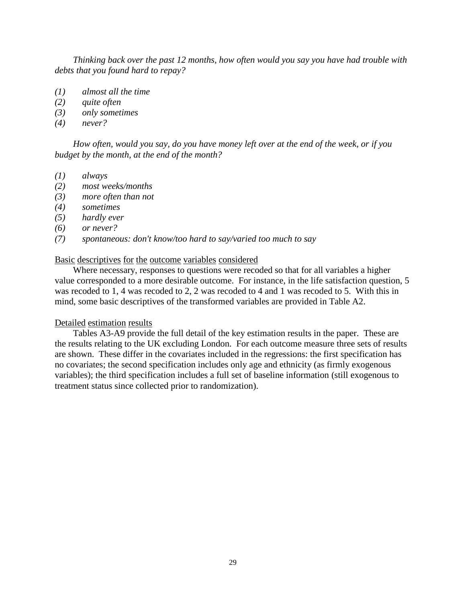*Thinking back over the past 12 months, how often would you say you have had trouble with debts that you found hard to repay?*

- *(1) almost all the time*
- *(2) quite often*
- *(3) only sometimes*
- *(4) never?*

*How often, would you say, do you have money left over at the end of the week, or if you budget by the month, at the end of the month?* 

- *(1) always*
- *(2) most weeks/months*
- *(3) more often than not*
- *(4) sometimes*
- *(5) hardly ever*
- *(6) or never?*
- *(7) spontaneous: don't know/too hard to say/varied too much to say*

#### Basic descriptives for the outcome variables considered

Where necessary, responses to questions were recoded so that for all variables a higher value corresponded to a more desirable outcome. For instance, in the life satisfaction question, 5 was recoded to 1, 4 was recoded to 2, 2 was recoded to 4 and 1 was recoded to 5. With this in mind, some basic descriptives of the transformed variables are provided in Table A2.

### Detailed estimation results

Tables A3-A9 provide the full detail of the key estimation results in the paper. These are the results relating to the UK excluding London. For each outcome measure three sets of results are shown. These differ in the covariates included in the regressions: the first specification has no covariates; the second specification includes only age and ethnicity (as firmly exogenous variables); the third specification includes a full set of baseline information (still exogenous to treatment status since collected prior to randomization).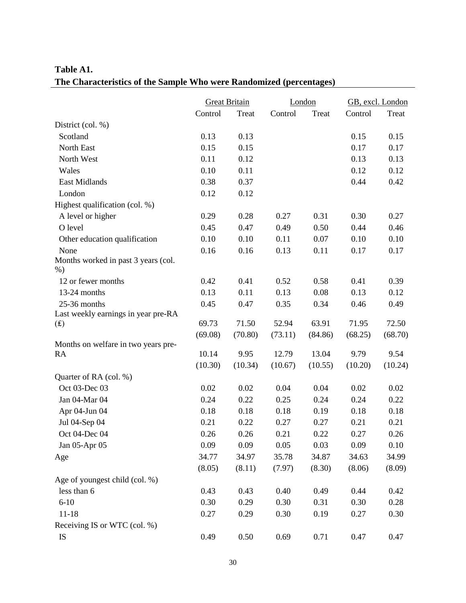# **Table A1. The Characteristics of the Sample Who were Randomized (percentages)**

|                                           |         | <b>Great Britain</b> |         | London  |         | GB, excl. London |  |
|-------------------------------------------|---------|----------------------|---------|---------|---------|------------------|--|
|                                           | Control | Treat                | Control | Treat   | Control | Treat            |  |
| District (col. %)                         |         |                      |         |         |         |                  |  |
| Scotland                                  | 0.13    | 0.13                 |         |         | 0.15    | 0.15             |  |
| North East                                | 0.15    | 0.15                 |         |         | 0.17    | 0.17             |  |
| North West                                | 0.11    | 0.12                 |         |         | 0.13    | 0.13             |  |
| Wales                                     | 0.10    | 0.11                 |         |         | 0.12    | 0.12             |  |
| <b>East Midlands</b>                      | 0.38    | 0.37                 |         |         | 0.44    | 0.42             |  |
| London                                    | 0.12    | 0.12                 |         |         |         |                  |  |
| Highest qualification (col. %)            |         |                      |         |         |         |                  |  |
| A level or higher                         | 0.29    | 0.28                 | 0.27    | 0.31    | 0.30    | 0.27             |  |
| O level                                   | 0.45    | 0.47                 | 0.49    | 0.50    | 0.44    | 0.46             |  |
| Other education qualification             | 0.10    | 0.10                 | 0.11    | 0.07    | 0.10    | 0.10             |  |
| None                                      | 0.16    | 0.16                 | 0.13    | 0.11    | 0.17    | 0.17             |  |
| Months worked in past 3 years (col.       |         |                      |         |         |         |                  |  |
| $\%$ )                                    |         |                      |         |         |         |                  |  |
| 12 or fewer months                        | 0.42    | 0.41                 | 0.52    | 0.58    | 0.41    | 0.39             |  |
| 13-24 months                              | 0.13    | 0.11                 | 0.13    | 0.08    | 0.13    | 0.12             |  |
| 25-36 months                              | 0.45    | 0.47                 | 0.35    | 0.34    | 0.46    | 0.49             |  |
| Last weekly earnings in year pre-RA       |         |                      |         |         |         |                  |  |
| (f)                                       | 69.73   | 71.50                | 52.94   | 63.91   | 71.95   | 72.50            |  |
|                                           | (69.08) | (70.80)              | (73.11) | (84.86) | (68.25) | (68.70)          |  |
| Months on welfare in two years pre-<br>RA | 10.14   | 9.95                 | 12.79   | 13.04   | 9.79    | 9.54             |  |
|                                           | (10.30) | (10.34)              | (10.67) | (10.55) | (10.20) | (10.24)          |  |
| Quarter of RA (col. %)                    |         |                      |         |         |         |                  |  |
| Oct 03-Dec 03                             | 0.02    | 0.02                 | 0.04    | 0.04    | 0.02    | 0.02             |  |
| Jan 04-Mar 04                             | 0.24    | 0.22                 | 0.25    | 0.24    | 0.24    | 0.22             |  |
|                                           |         |                      |         |         | 0.18    |                  |  |
| Apr 04-Jun 04                             | 0.18    | 0.18                 | 0.18    | 0.19    |         | 0.18             |  |
| Jul 04-Sep 04                             | 0.21    | 0.22                 | 0.27    | 0.27    | 0.21    | 0.21             |  |
| Oct 04-Dec 04                             | 0.26    | 0.26                 | 0.21    | 0.22    | 0.27    | 0.26             |  |
| Jan 05-Apr 05                             | 0.09    | 0.09                 | 0.05    | 0.03    | 0.09    | 0.10             |  |
| Age                                       | 34.77   | 34.97                | 35.78   | 34.87   | 34.63   | 34.99            |  |
|                                           | (8.05)  | (8.11)               | (7.97)  | (8.30)  | (8.06)  | (8.09)           |  |
| Age of youngest child (col. %)            |         |                      |         |         |         |                  |  |
| less than 6                               | 0.43    | 0.43                 | 0.40    | 0.49    | 0.44    | 0.42             |  |
| $6 - 10$                                  | 0.30    | 0.29                 | 0.30    | 0.31    | 0.30    | 0.28             |  |
| $11 - 18$                                 | 0.27    | 0.29                 | 0.30    | 0.19    | 0.27    | 0.30             |  |
| Receiving IS or WTC (col. %)              |         |                      |         |         |         |                  |  |
| IS                                        | 0.49    | 0.50                 | 0.69    | 0.71    | 0.47    | 0.47             |  |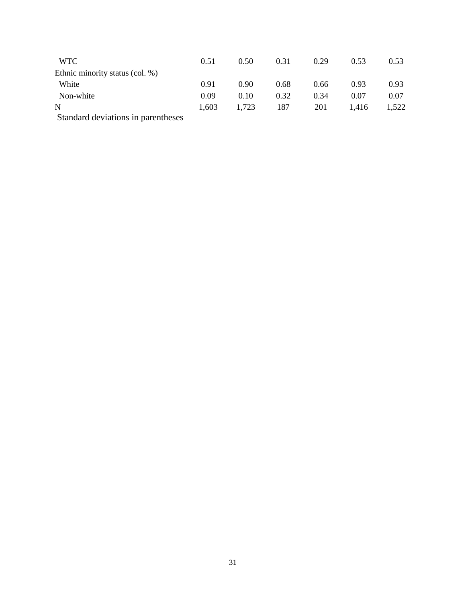| <b>WTC</b>                      | 0.51  | 0.50  | 0.31 | 0.29 | 0.53  | 0.53  |
|---------------------------------|-------|-------|------|------|-------|-------|
| Ethnic minority status (col. %) |       |       |      |      |       |       |
| White                           | 0.91  | 0.90  | 0.68 | 0.66 | 0.93  | 0.93  |
| Non-white                       | 0.09  | 0.10  | 0.32 | 0.34 | 0.07  | 0.07  |
| N                               | 1,603 | 1,723 | 187  | 201  | 1.416 | 1,522 |
| 0.111                           |       |       |      |      |       |       |

Standard deviations in parentheses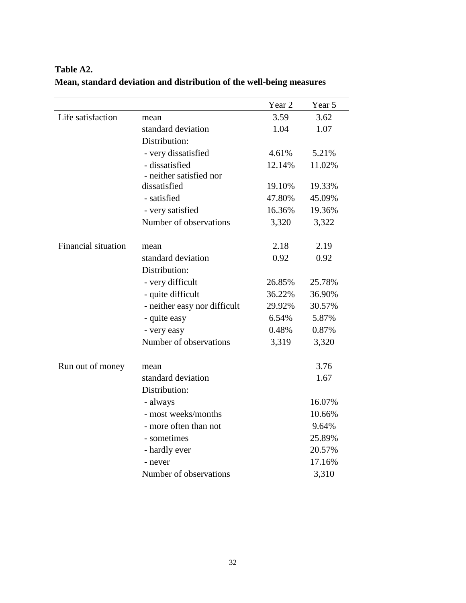|                            |                              | Year 2 | Year 5 |
|----------------------------|------------------------------|--------|--------|
| Life satisfaction          | mean                         | 3.59   | 3.62   |
|                            | standard deviation           | 1.04   | 1.07   |
|                            | Distribution:                |        |        |
|                            | - very dissatisfied          | 4.61%  | 5.21%  |
|                            | - dissatisfied               | 12.14% | 11.02% |
|                            | - neither satisfied nor      |        |        |
|                            | dissatisfied                 | 19.10% | 19.33% |
|                            | - satisfied                  | 47.80% | 45.09% |
|                            | - very satisfied             | 16.36% | 19.36% |
|                            | Number of observations       | 3,320  | 3,322  |
| <b>Financial situation</b> |                              | 2.18   | 2.19   |
|                            | mean<br>standard deviation   | 0.92   | 0.92   |
|                            | Distribution:                |        |        |
|                            | - very difficult             | 26.85% | 25.78% |
|                            | - quite difficult            | 36.22% | 36.90% |
|                            | - neither easy nor difficult | 29.92% | 30.57% |
|                            | - quite easy                 | 6.54%  | 5.87%  |
|                            | - very easy                  | 0.48%  | 0.87%  |
|                            | Number of observations       | 3,319  | 3,320  |
|                            |                              |        |        |
| Run out of money           | mean                         |        | 3.76   |
|                            | standard deviation           |        | 1.67   |
|                            | Distribution:                |        |        |
|                            | - always                     |        | 16.07% |
|                            | - most weeks/months          |        | 10.66% |
|                            | - more often than not        |        | 9.64%  |
|                            | - sometimes                  |        | 25.89% |
|                            | - hardly ever                |        | 20.57% |
|                            | - never                      |        | 17.16% |
|                            | Number of observations       |        | 3,310  |

# **Table A2. Mean, standard deviation and distribution of the well-being measures**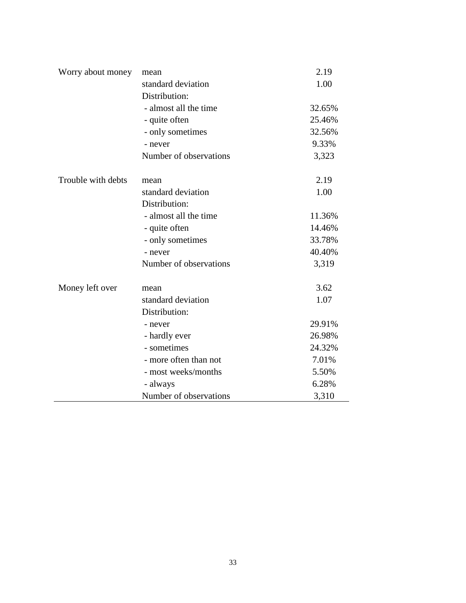| Worry about money  | mean                   | 2.19   |
|--------------------|------------------------|--------|
|                    | standard deviation     | 1.00   |
|                    | Distribution:          |        |
|                    | - almost all the time  | 32.65% |
|                    | - quite often          | 25.46% |
|                    | - only sometimes       | 32.56% |
|                    | - never                | 9.33%  |
|                    | Number of observations | 3,323  |
| Trouble with debts | mean                   | 2.19   |
|                    | standard deviation     | 1.00   |
|                    | Distribution:          |        |
|                    | - almost all the time  | 11.36% |
|                    | - quite often          | 14.46% |
|                    | - only sometimes       | 33.78% |
|                    | - never                | 40.40% |
|                    | Number of observations | 3,319  |
| Money left over    | mean                   | 3.62   |
|                    | standard deviation     | 1.07   |
|                    | Distribution:          |        |
|                    | - never                | 29.91% |
|                    | - hardly ever          | 26.98% |
|                    | - sometimes            | 24.32% |
|                    | - more often than not  | 7.01%  |
|                    | - most weeks/months    | 5.50%  |
|                    | - always               | 6.28%  |
|                    | Number of observations | 3,310  |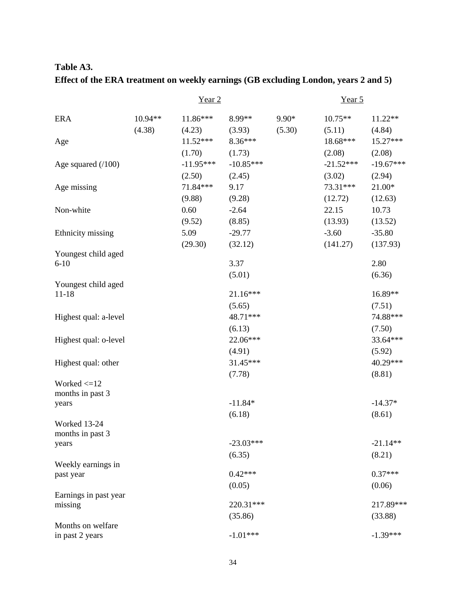# **Table A3. Effect of the ERA treatment on weekly earnings (GB excluding London, years 2 and 5)**

|                                      |           | Year <sub>2</sub>    |                       |         | Year 5             |                       |
|--------------------------------------|-----------|----------------------|-----------------------|---------|--------------------|-----------------------|
| <b>ERA</b>                           | $10.94**$ | 11.86***             | 8.99**                | $9.90*$ | $10.75**$          | 11.22**               |
|                                      | (4.38)    | (4.23)<br>$11.52***$ | (3.93)<br>8.36***     | (5.30)  | (5.11)<br>18.68*** | (4.84)<br>15.27***    |
| Age                                  |           | (1.70)               |                       |         | (2.08)             |                       |
|                                      |           | $-11.95***$          | (1.73)<br>$-10.85***$ |         | $-21.52***$        | (2.08)<br>$-19.67***$ |
| Age squared $(100)$                  |           | (2.50)               | (2.45)                |         | (3.02)             |                       |
| Age missing                          |           | 71.84***             | 9.17                  |         | 73.31***           | (2.94)<br>$21.00*$    |
|                                      |           | (9.88)               | (9.28)                |         | (12.72)            | (12.63)               |
| Non-white                            |           | 0.60                 | $-2.64$               |         | 22.15              | 10.73                 |
|                                      |           | (9.52)               | (8.85)                |         | (13.93)            | (13.52)               |
|                                      |           | 5.09                 | $-29.77$              |         | $-3.60$            | $-35.80$              |
| Ethnicity missing                    |           |                      |                       |         |                    |                       |
| Youngest child aged                  |           | (29.30)              | (32.12)               |         | (141.27)           | (137.93)              |
| $6 - 10$                             |           |                      | 3.37                  |         |                    | 2.80                  |
|                                      |           |                      | (5.01)                |         |                    | (6.36)                |
| Youngest child aged                  |           |                      |                       |         |                    |                       |
| $11 - 18$                            |           |                      | 21.16***              |         |                    | 16.89**               |
|                                      |           |                      | (5.65)                |         |                    | (7.51)                |
| Highest qual: a-level                |           |                      | 48.71***              |         |                    | 74.88***              |
|                                      |           |                      | (6.13)                |         |                    | (7.50)                |
| Highest qual: o-level                |           |                      | 22.06***              |         |                    | 33.64***              |
|                                      |           |                      | (4.91)                |         |                    | (5.92)                |
| Highest qual: other                  |           |                      | 31.45***              |         |                    | 40.29***              |
|                                      |           |                      | (7.78)                |         |                    | (8.81)                |
| Worked $\leq 12$                     |           |                      |                       |         |                    |                       |
| months in past 3                     |           |                      |                       |         |                    |                       |
| years                                |           |                      | $-11.84*$             |         |                    | $-14.37*$             |
| Worked 13-24                         |           |                      | (6.18)                |         |                    | (8.61)                |
| months in past 3                     |           |                      |                       |         |                    |                       |
| years                                |           |                      | $-23.03***$           |         |                    | $-21.14**$            |
|                                      |           |                      | (6.35)                |         |                    | (8.21)                |
| Weekly earnings in                   |           |                      |                       |         |                    |                       |
| past year                            |           |                      | $0.42***$             |         |                    | $0.37***$             |
|                                      |           |                      | (0.05)                |         |                    | (0.06)                |
| Earnings in past year                |           |                      |                       |         |                    |                       |
| missing                              |           |                      | 220.31***             |         |                    | 217.89***             |
|                                      |           |                      | (35.86)               |         |                    | (33.88)               |
| Months on welfare<br>in past 2 years |           |                      | $-1.01***$            |         |                    | $-1.39***$            |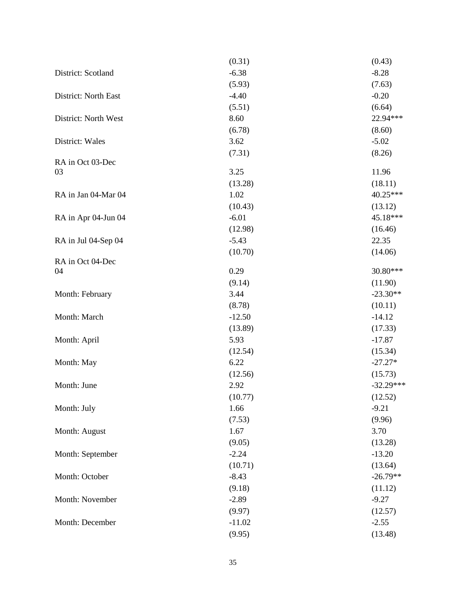|                        | (0.31)         | (0.43)                |
|------------------------|----------------|-----------------------|
| District: Scotland     | $-6.38$        | $-8.28$               |
|                        | (5.93)         | (7.63)                |
| District: North East   | $-4.40$        | $-0.20$               |
|                        | (5.51)         | (6.64)                |
| District: North West   | 8.60           | 22.94***              |
|                        | (6.78)         | (8.60)                |
| District: Wales        | 3.62           | $-5.02$               |
|                        | (7.31)         | (8.26)                |
| RA in Oct 03-Dec       |                |                       |
| 03                     | 3.25           | 11.96                 |
|                        | (13.28)        | (18.11)               |
| RA in Jan 04-Mar 04    | 1.02           | 40.25***              |
|                        | (10.43)        | (13.12)               |
| RA in Apr 04-Jun 04    | $-6.01$        | 45.18***              |
|                        | (12.98)        | (16.46)               |
| RA in Jul 04-Sep 04    | $-5.43$        | 22.35                 |
|                        | (10.70)        | (14.06)               |
| RA in Oct 04-Dec<br>04 | 0.29           | 30.80***              |
|                        |                |                       |
|                        | (9.14)<br>3.44 | (11.90)<br>$-23.30**$ |
| Month: February        |                |                       |
|                        | (8.78)         | (10.11)               |
| Month: March           | $-12.50$       | $-14.12$              |
|                        | (13.89)        | (17.33)               |
| Month: April           | 5.93           | $-17.87$              |
|                        | (12.54)        | (15.34)               |
| Month: May             | 6.22           | $-27.27*$             |
|                        | (12.56)        | (15.73)               |
| Month: June            | 2.92           | $-32.29***$           |
|                        | (10.77)        | (12.52)               |
| Month: July            | 1.66           | $-9.21$               |
|                        | (7.53)         | (9.96)                |
| Month: August          | 1.67           | 3.70                  |
|                        | (9.05)         | (13.28)               |
| Month: September       | $-2.24$        | $-13.20$              |
|                        | (10.71)        | (13.64)               |
| Month: October         | $-8.43$        | $-26.79**$            |
|                        | (9.18)         | (11.12)               |
| Month: November        | $-2.89$        | $-9.27$               |
|                        | (9.97)         | (12.57)               |
| Month: December        | $-11.02$       | $-2.55$               |
|                        | (9.95)         | (13.48)               |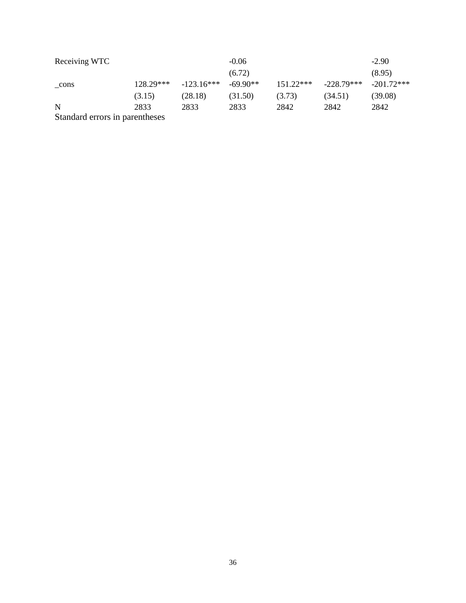| Receiving WTC                  |             |              | $-0.06$    |             |              | $-2.90$      |
|--------------------------------|-------------|--------------|------------|-------------|--------------|--------------|
|                                |             |              | (6.72)     |             |              | (8.95)       |
| cons                           | $128.29***$ | $-123.16***$ | $-69.90**$ | $151.22***$ | $-228.79***$ | $-201.72***$ |
|                                | (3.15)      | (28.18)      | (31.50)    | (3.73)      | (34.51)      | (39.08)      |
| N                              | 2833        | 2833         | 2833       | 2842        | 2842         | 2842         |
| Standard errors in parentheses |             |              |            |             |              |              |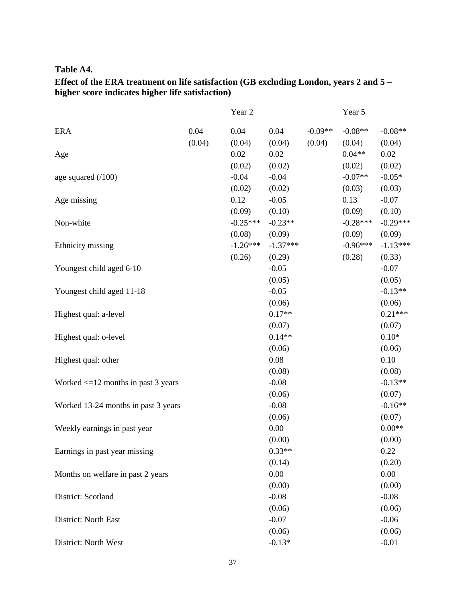# **Table A4.**

# **Effect of the ERA treatment on life satisfaction (GB excluding London, years 2 and 5 – higher score indicates higher life satisfaction)**

|                                         |        | Year <sub>2</sub> |            |           | Year 5     |            |
|-----------------------------------------|--------|-------------------|------------|-----------|------------|------------|
| <b>ERA</b>                              | 0.04   | 0.04              | 0.04       | $-0.09**$ | $-0.08**$  | $-0.08**$  |
|                                         | (0.04) | (0.04)            | (0.04)     | (0.04)    | (0.04)     | (0.04)     |
| Age                                     |        | 0.02              | 0.02       |           | $0.04**$   | 0.02       |
|                                         |        | (0.02)            | (0.02)     |           | (0.02)     | (0.02)     |
| age squared $(100)$                     |        | $-0.04$           | $-0.04$    |           | $-0.07**$  | $-0.05*$   |
|                                         |        | (0.02)            | (0.02)     |           | (0.03)     | (0.03)     |
| Age missing                             |        | 0.12              | $-0.05$    |           | 0.13       | $-0.07$    |
|                                         |        | (0.09)            | (0.10)     |           | (0.09)     | (0.10)     |
| Non-white                               |        | $-0.25***$        | $-0.23**$  |           | $-0.28***$ | $-0.29***$ |
|                                         |        | (0.08)            | (0.09)     |           | (0.09)     | (0.09)     |
| Ethnicity missing                       |        | $-1.26***$        | $-1.37***$ |           | $-0.96***$ | $-1.13***$ |
|                                         |        | (0.26)            | (0.29)     |           | (0.28)     | (0.33)     |
| Youngest child aged 6-10                |        |                   | $-0.05$    |           |            | $-0.07$    |
|                                         |        |                   | (0.05)     |           |            | (0.05)     |
| Youngest child aged 11-18               |        |                   | $-0.05$    |           |            | $-0.13**$  |
|                                         |        |                   | (0.06)     |           |            | (0.06)     |
| Highest qual: a-level                   |        |                   | $0.17**$   |           |            | $0.21***$  |
|                                         |        |                   | (0.07)     |           |            | (0.07)     |
| Highest qual: o-level                   |        |                   | $0.14**$   |           |            | $0.10*$    |
|                                         |        |                   | (0.06)     |           |            | (0.06)     |
| Highest qual: other                     |        |                   | 0.08       |           |            | 0.10       |
|                                         |        |                   | (0.08)     |           |            | (0.08)     |
| Worked $\leq 12$ months in past 3 years |        |                   | $-0.08$    |           |            | $-0.13**$  |
|                                         |        |                   | (0.06)     |           |            | (0.07)     |
| Worked 13-24 months in past 3 years     |        |                   | $-0.08$    |           |            | $-0.16**$  |
|                                         |        |                   | (0.06)     |           |            | (0.07)     |
| Weekly earnings in past year            |        |                   | 0.00       |           |            | $0.00**$   |
|                                         |        |                   | (0.00)     |           |            | (0.00)     |
| Earnings in past year missing           |        |                   | $0.33**$   |           |            | 0.22       |
|                                         |        |                   | (0.14)     |           |            | (0.20)     |
| Months on welfare in past 2 years       |        |                   | 0.00       |           |            | 0.00       |
|                                         |        |                   | (0.00)     |           |            | (0.00)     |
| District: Scotland                      |        |                   | $-0.08$    |           |            | $-0.08$    |
|                                         |        |                   | (0.06)     |           |            | (0.06)     |
| District: North East                    |        |                   | $-0.07$    |           |            | $-0.06$    |
|                                         |        |                   | (0.06)     |           |            | (0.06)     |
| District: North West                    |        |                   | $-0.13*$   |           |            | $-0.01$    |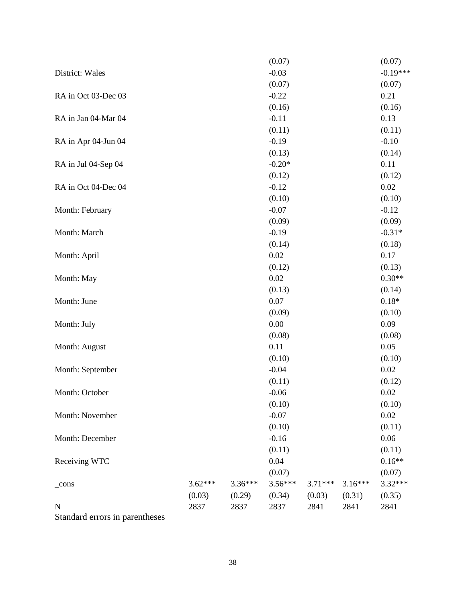|                                |           |         | (0.07)    |           |           | (0.07)     |
|--------------------------------|-----------|---------|-----------|-----------|-----------|------------|
| District: Wales                |           |         | $-0.03$   |           |           | $-0.19***$ |
|                                |           |         | (0.07)    |           |           | (0.07)     |
| RA in Oct 03-Dec 03            |           |         | $-0.22$   |           |           | 0.21       |
|                                |           |         | (0.16)    |           |           | (0.16)     |
| RA in Jan 04-Mar 04            |           |         | $-0.11$   |           |           | 0.13       |
|                                |           |         | (0.11)    |           |           | (0.11)     |
| RA in Apr 04-Jun 04            |           |         | $-0.19$   |           |           | $-0.10$    |
|                                |           |         | (0.13)    |           |           | (0.14)     |
| RA in Jul 04-Sep 04            |           |         | $-0.20*$  |           |           | 0.11       |
|                                |           |         | (0.12)    |           |           | (0.12)     |
| RA in Oct 04-Dec 04            |           |         | $-0.12$   |           |           | 0.02       |
|                                |           |         | (0.10)    |           |           | (0.10)     |
| Month: February                |           |         | $-0.07$   |           |           | $-0.12$    |
|                                |           |         | (0.09)    |           |           | (0.09)     |
| Month: March                   |           |         | $-0.19$   |           |           | $-0.31*$   |
|                                |           |         | (0.14)    |           |           | (0.18)     |
| Month: April                   |           |         | 0.02      |           |           | 0.17       |
|                                |           |         | (0.12)    |           |           | (0.13)     |
| Month: May                     |           |         | 0.02      |           |           | $0.30**$   |
|                                |           |         | (0.13)    |           |           | (0.14)     |
| Month: June                    |           |         | 0.07      |           |           | $0.18*$    |
|                                |           |         | (0.09)    |           |           | (0.10)     |
| Month: July                    |           |         | 0.00      |           |           | 0.09       |
|                                |           |         | (0.08)    |           |           | (0.08)     |
| Month: August                  |           |         | 0.11      |           |           | 0.05       |
|                                |           |         | (0.10)    |           |           | (0.10)     |
| Month: September               |           |         | $-0.04$   |           |           | 0.02       |
|                                |           |         | (0.11)    |           |           | (0.12)     |
| Month: October                 |           |         | $-0.06$   |           |           | 0.02       |
|                                |           |         | (0.10)    |           |           | (0.10)     |
| Month: November                |           |         | $-0.07$   |           |           | 0.02       |
|                                |           |         | (0.10)    |           |           | (0.11)     |
| Month: December                |           |         | $-0.16$   |           |           | 0.06       |
|                                |           |         | (0.11)    |           |           | (0.11)     |
| Receiving WTC                  |           |         | 0.04      |           |           | $0.16**$   |
|                                |           |         | (0.07)    |           |           | (0.07)     |
| $_{\rm cons}$                  | $3.62***$ | 3.36*** | $3.56***$ | $3.71***$ | $3.16***$ | 3.32***    |
|                                | (0.03)    | (0.29)  | (0.34)    | (0.03)    | (0.31)    | (0.35)     |
| $\mathbf N$                    | 2837      | 2837    | 2837      | 2841      | 2841      | 2841       |
| Standard errors in parentheses |           |         |           |           |           |            |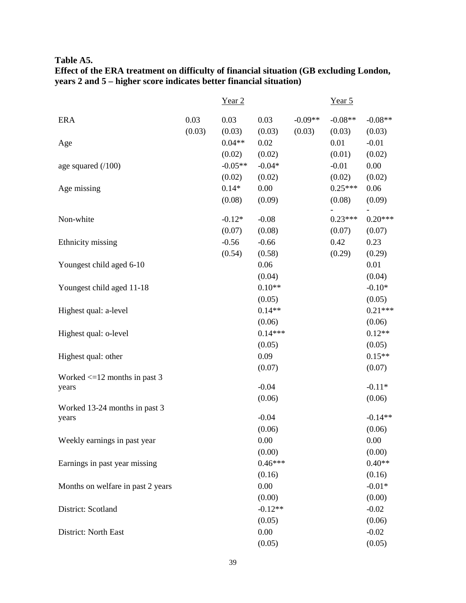**Table A5.**

| Effect of the ERA treatment on difficulty of financial situation (GB excluding London, |
|----------------------------------------------------------------------------------------|
| years 2 and 5 – higher score indicates better financial situation)                     |

|                                            |                | Year <sub>2</sub>   |                          |                     | Year 5              |                             |
|--------------------------------------------|----------------|---------------------|--------------------------|---------------------|---------------------|-----------------------------|
| <b>ERA</b>                                 | 0.03<br>(0.03) | 0.03<br>(0.03)      | 0.03<br>(0.03)           | $-0.09**$<br>(0.03) | $-0.08**$<br>(0.03) | $-0.08**$<br>(0.03)         |
| Age                                        |                | $0.04**$<br>(0.02)  | 0.02<br>(0.02)           |                     | 0.01<br>(0.01)      | $-0.01$<br>(0.02)           |
| age squared $(100)$                        |                | $-0.05**$<br>(0.02) | $-0.04*$<br>(0.02)       |                     | $-0.01$<br>(0.02)   | 0.00<br>(0.02)              |
| Age missing                                |                | $0.14*$<br>(0.08)   | 0.00<br>(0.09)           |                     | $0.25***$<br>(0.08) | 0.06<br>(0.09)              |
| Non-white                                  |                | $-0.12*$<br>(0.07)  | $-0.08$<br>(0.08)        |                     | $0.23***$<br>(0.07) | $0.20***$<br>(0.07)         |
| Ethnicity missing                          |                | $-0.56$<br>(0.54)   | $-0.66$<br>(0.58)        |                     | 0.42<br>(0.29)      | 0.23<br>(0.29)              |
| Youngest child aged 6-10                   |                |                     | 0.06<br>(0.04)           |                     |                     | 0.01<br>(0.04)              |
| Youngest child aged 11-18                  |                |                     | $0.10**$<br>(0.05)       |                     |                     | $-0.10*$<br>(0.05)          |
| Highest qual: a-level                      |                |                     | $0.14**$<br>(0.06)       |                     |                     | $0.21***$<br>(0.06)         |
| Highest qual: o-level                      |                |                     | $0.14***$<br>(0.05)      |                     |                     | $0.12**$<br>(0.05)          |
| Highest qual: other                        |                |                     | 0.09<br>(0.07)           |                     |                     | $0.15**$<br>(0.07)          |
| Worked $\leq 12$ months in past 3<br>years |                |                     | $-0.04$                  |                     |                     | $-0.11*$<br>(0.06)          |
| Worked 13-24 months in past 3<br>years     |                |                     | (0.06)<br>$-0.04$        |                     |                     | $-0.14**$                   |
| Weekly earnings in past year               |                |                     | (0.06)<br>0.00           |                     |                     | (0.06)<br>0.00              |
| Earnings in past year missing              |                |                     | (0.00)<br>$0.46***$      |                     |                     | (0.00)<br>$0.40**$          |
| Months on welfare in past 2 years          |                |                     | (0.16)<br>0.00           |                     |                     | (0.16)<br>$-0.01*$          |
| District: Scotland                         |                |                     | (0.00)<br>$-0.12**$      |                     |                     | (0.00)<br>$-0.02$           |
| District: North East                       |                |                     | (0.05)<br>0.00<br>(0.05) |                     |                     | (0.06)<br>$-0.02$<br>(0.05) |
|                                            |                |                     |                          |                     |                     |                             |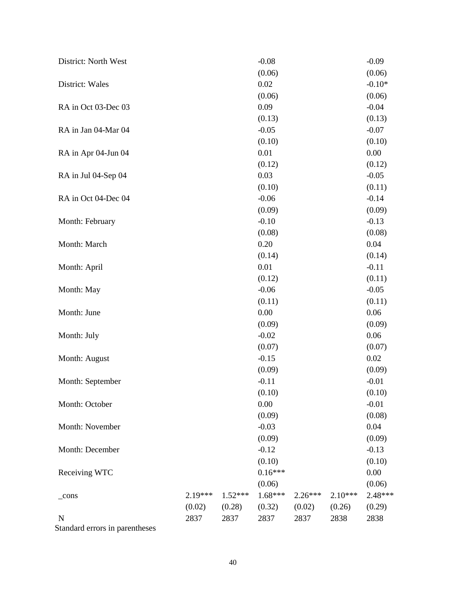| District: North West |           |           | $-0.08$   |           |           | $-0.09$  |
|----------------------|-----------|-----------|-----------|-----------|-----------|----------|
|                      |           |           | (0.06)    |           |           | (0.06)   |
| District: Wales      |           |           | 0.02      |           |           | $-0.10*$ |
|                      |           |           | (0.06)    |           |           | (0.06)   |
| RA in Oct 03-Dec 03  |           |           | 0.09      |           |           | $-0.04$  |
|                      |           |           | (0.13)    |           |           | (0.13)   |
| RA in Jan 04-Mar 04  |           |           | $-0.05$   |           |           | $-0.07$  |
|                      |           |           | (0.10)    |           |           | (0.10)   |
| RA in Apr 04-Jun 04  |           |           | 0.01      |           |           | 0.00     |
|                      |           |           | (0.12)    |           |           | (0.12)   |
| RA in Jul 04-Sep 04  |           |           | 0.03      |           |           | $-0.05$  |
|                      |           |           | (0.10)    |           |           | (0.11)   |
| RA in Oct 04-Dec 04  |           |           | $-0.06$   |           |           | $-0.14$  |
|                      |           |           | (0.09)    |           |           | (0.09)   |
| Month: February      |           |           | $-0.10$   |           |           | $-0.13$  |
|                      |           |           | (0.08)    |           |           | (0.08)   |
| Month: March         |           |           | 0.20      |           |           | 0.04     |
|                      |           |           | (0.14)    |           |           | (0.14)   |
| Month: April         |           |           | 0.01      |           |           | $-0.11$  |
|                      |           |           | (0.12)    |           |           | (0.11)   |
| Month: May           |           |           | $-0.06$   |           |           | $-0.05$  |
|                      |           |           | (0.11)    |           |           | (0.11)   |
| Month: June          |           |           | 0.00      |           |           | 0.06     |
|                      |           |           | (0.09)    |           |           | (0.09)   |
| Month: July          |           |           | $-0.02$   |           |           | 0.06     |
|                      |           |           | (0.07)    |           |           | (0.07)   |
| Month: August        |           |           | $-0.15$   |           |           | 0.02     |
|                      |           |           | (0.09)    |           |           | (0.09)   |
| Month: September     |           |           | $-0.11$   |           |           | $-0.01$  |
|                      |           |           | (0.10)    |           |           | (0.10)   |
| Month: October       |           |           | 0.00      |           |           | $-0.01$  |
|                      |           |           | (0.09)    |           |           | (0.08)   |
| Month: November      |           |           | $-0.03$   |           |           | 0.04     |
|                      |           |           | (0.09)    |           |           | (0.09)   |
| Month: December      |           |           | $-0.12$   |           |           | $-0.13$  |
|                      |           |           | (0.10)    |           |           | (0.10)   |
| Receiving WTC        |           |           | $0.16***$ |           |           | 0.00     |
|                      |           |           | (0.06)    |           |           | (0.06)   |
| $_{\rm \_cons}$      | $2.19***$ | $1.52***$ | $1.68***$ | $2.26***$ | $2.10***$ | 2.48***  |
|                      | (0.02)    | (0.28)    | (0.32)    | (0.02)    | (0.26)    | (0.29)   |
| $\mathbf N$          | 2837      | 2837      | 2837      | 2837      | 2838      | 2838     |
| $R$ tondo            |           |           |           |           |           |          |

Standard errors in parentheses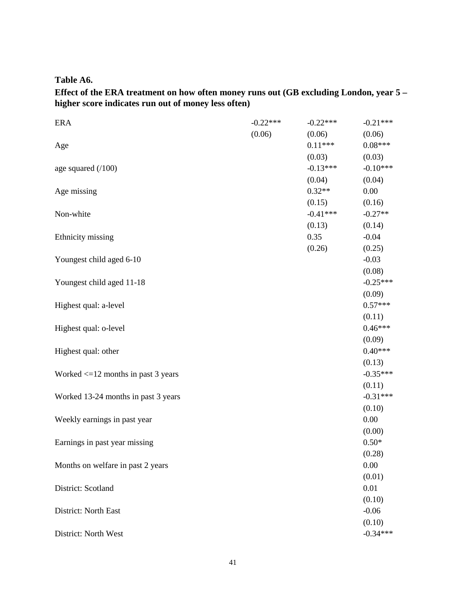**Table A6.**

**Effect of the ERA treatment on how often money runs out (GB excluding London, year 5 – higher score indicates run out of money less often)** 

| <b>ERA</b>                              | $-0.22***$ | $-0.22***$ | $-0.21***$ |
|-----------------------------------------|------------|------------|------------|
|                                         | (0.06)     | (0.06)     | (0.06)     |
| Age                                     |            | $0.11***$  | $0.08***$  |
|                                         |            | (0.03)     | (0.03)     |
| age squared $(100)$                     |            | $-0.13***$ | $-0.10***$ |
|                                         |            | (0.04)     | (0.04)     |
| Age missing                             |            | $0.32**$   | 0.00       |
|                                         |            | (0.15)     | (0.16)     |
| Non-white                               |            | $-0.41***$ | $-0.27**$  |
|                                         |            | (0.13)     | (0.14)     |
| Ethnicity missing                       |            | 0.35       | $-0.04$    |
|                                         |            | (0.26)     | (0.25)     |
| Youngest child aged 6-10                |            |            | $-0.03$    |
|                                         |            |            | (0.08)     |
| Youngest child aged 11-18               |            |            | $-0.25***$ |
|                                         |            |            | (0.09)     |
| Highest qual: a-level                   |            |            | $0.57***$  |
|                                         |            |            | (0.11)     |
| Highest qual: o-level                   |            |            | $0.46***$  |
|                                         |            |            | (0.09)     |
| Highest qual: other                     |            |            | $0.40***$  |
|                                         |            |            | (0.13)     |
| Worked $\leq$ 12 months in past 3 years |            |            | $-0.35***$ |
|                                         |            |            | (0.11)     |
| Worked 13-24 months in past 3 years     |            |            | $-0.31***$ |
|                                         |            |            | (0.10)     |
| Weekly earnings in past year            |            |            | 0.00       |
|                                         |            |            | (0.00)     |
| Earnings in past year missing           |            |            | $0.50*$    |
|                                         |            |            | (0.28)     |
| Months on welfare in past 2 years       |            |            | 0.00       |
|                                         |            |            | (0.01)     |
| District: Scotland                      |            |            | 0.01       |
|                                         |            |            | (0.10)     |
| District: North East                    |            |            | $-0.06$    |
|                                         |            |            | (0.10)     |
| District: North West                    |            |            | $-0.34***$ |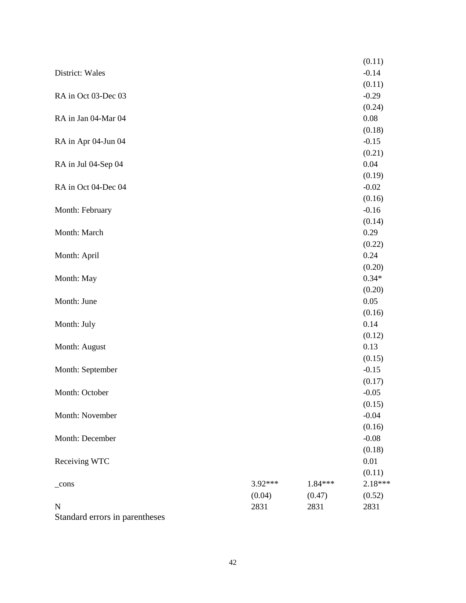|                                |         |           | (0.11)            |
|--------------------------------|---------|-----------|-------------------|
| District: Wales                |         |           | $-0.14$           |
|                                |         |           | (0.11)            |
| RA in Oct 03-Dec 03            |         |           | $-0.29$           |
|                                |         |           | (0.24)            |
| RA in Jan 04-Mar 04            |         |           | 0.08              |
|                                |         |           | (0.18)            |
| RA in Apr 04-Jun 04            |         |           | $-0.15$           |
|                                |         |           | (0.21)            |
| RA in Jul 04-Sep 04            |         |           | 0.04<br>(0.19)    |
| RA in Oct 04-Dec 04            |         |           | $-0.02$           |
|                                |         |           | (0.16)            |
| Month: February                |         |           | $-0.16$           |
|                                |         |           | (0.14)            |
| Month: March                   |         |           | 0.29              |
|                                |         |           | (0.22)            |
| Month: April                   |         |           | 0.24              |
|                                |         |           | (0.20)            |
| Month: May                     |         |           | $0.34*$           |
|                                |         |           | (0.20)            |
| Month: June                    |         |           | 0.05              |
|                                |         |           | (0.16)            |
| Month: July                    |         |           | 0.14              |
|                                |         |           | (0.12)            |
| Month: August                  |         |           | 0.13              |
| Month: September               |         |           | (0.15)<br>$-0.15$ |
|                                |         |           | (0.17)            |
| Month: October                 |         |           | $-0.05$           |
|                                |         |           | (0.15)            |
| Month: November                |         |           | $-0.04$           |
|                                |         |           | (0.16)            |
| Month: December                |         |           | $-0.08$           |
|                                |         |           | (0.18)            |
| Receiving WTC                  |         |           | 0.01              |
|                                |         |           | (0.11)            |
| $_{\rm \_cons}$                | 3.92*** | $1.84***$ | 2.18***           |
|                                | (0.04)  | (0.47)    | (0.52)            |
| $\mathbf N$                    | 2831    | 2831      | 2831              |
| Standard errors in parentheses |         |           |                   |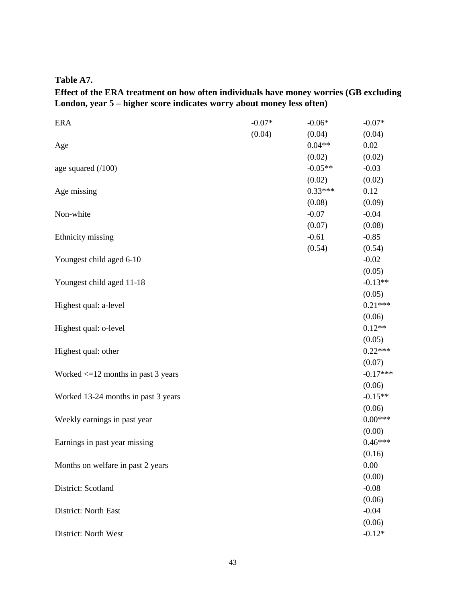**Table A7.**

# **Effect of the ERA treatment on how often individuals have money worries (GB excluding London, year 5 – higher score indicates worry about money less often)**

| <b>ERA</b>                              | $-0.07*$ | $-0.06*$  | $-0.07*$   |
|-----------------------------------------|----------|-----------|------------|
|                                         | (0.04)   | (0.04)    | (0.04)     |
| Age                                     |          | $0.04**$  | 0.02       |
|                                         |          | (0.02)    | (0.02)     |
| age squared $(100)$                     |          | $-0.05**$ | $-0.03$    |
|                                         |          | (0.02)    | (0.02)     |
| Age missing                             |          | $0.33***$ | 0.12       |
|                                         |          | (0.08)    | (0.09)     |
| Non-white                               |          | $-0.07$   | $-0.04$    |
|                                         |          | (0.07)    | (0.08)     |
| Ethnicity missing                       |          | $-0.61$   | $-0.85$    |
|                                         |          | (0.54)    | (0.54)     |
| Youngest child aged 6-10                |          |           | $-0.02$    |
|                                         |          |           | (0.05)     |
| Youngest child aged 11-18               |          |           | $-0.13**$  |
|                                         |          |           | (0.05)     |
| Highest qual: a-level                   |          |           | $0.21***$  |
|                                         |          |           | (0.06)     |
| Highest qual: o-level                   |          |           | $0.12**$   |
|                                         |          |           | (0.05)     |
| Highest qual: other                     |          |           | $0.22***$  |
|                                         |          |           | (0.07)     |
| Worked $\leq 12$ months in past 3 years |          |           | $-0.17***$ |
|                                         |          |           | (0.06)     |
| Worked 13-24 months in past 3 years     |          |           | $-0.15**$  |
|                                         |          |           | (0.06)     |
| Weekly earnings in past year            |          |           | $0.00***$  |
|                                         |          |           | (0.00)     |
| Earnings in past year missing           |          |           | $0.46***$  |
|                                         |          |           | (0.16)     |
| Months on welfare in past 2 years       |          |           | 0.00       |
|                                         |          |           | (0.00)     |
| District: Scotland                      |          |           | $-0.08$    |
|                                         |          |           | (0.06)     |
| District: North East                    |          |           | $-0.04$    |
|                                         |          |           | (0.06)     |
| District: North West                    |          |           | $-0.12*$   |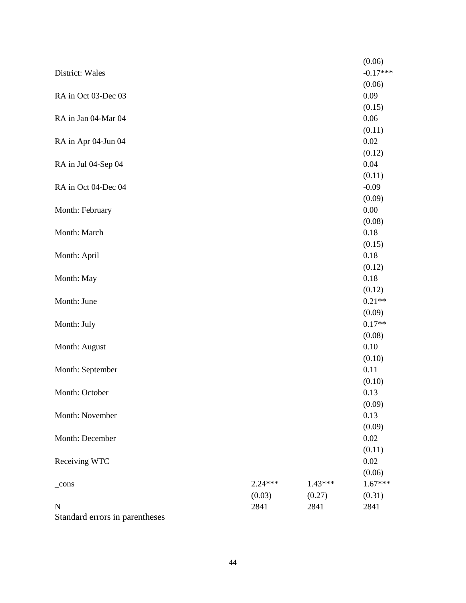|                                |           |           | (0.06)            |
|--------------------------------|-----------|-----------|-------------------|
| District: Wales                |           |           | $-0.17***$        |
|                                |           |           | (0.06)            |
| RA in Oct 03-Dec 03            |           |           | 0.09              |
|                                |           |           | (0.15)            |
| RA in Jan 04-Mar 04            |           |           | 0.06              |
|                                |           |           | (0.11)            |
| RA in Apr 04-Jun 04            |           |           | 0.02              |
|                                |           |           | (0.12)            |
| RA in Jul 04-Sep 04            |           |           | 0.04              |
| RA in Oct 04-Dec 04            |           |           | (0.11)<br>$-0.09$ |
|                                |           |           | (0.09)            |
| Month: February                |           |           | 0.00              |
|                                |           |           | (0.08)            |
| Month: March                   |           |           | 0.18              |
|                                |           |           | (0.15)            |
| Month: April                   |           |           | 0.18              |
|                                |           |           | (0.12)            |
| Month: May                     |           |           | 0.18              |
|                                |           |           | (0.12)            |
| Month: June                    |           |           | $0.21**$          |
|                                |           |           | (0.09)            |
| Month: July                    |           |           | $0.17**$          |
|                                |           |           | (0.08)            |
| Month: August                  |           |           | 0.10              |
|                                |           |           | (0.10)            |
| Month: September               |           |           | 0.11<br>(0.10)    |
| Month: October                 |           |           | 0.13              |
|                                |           |           | (0.09)            |
| Month: November                |           |           | 0.13              |
|                                |           |           | (0.09)            |
| Month: December                |           |           | 0.02              |
|                                |           |           | (0.11)            |
| Receiving WTC                  |           |           | 0.02              |
|                                |           |           | (0.06)            |
| $_{\rm cons}$                  | $2.24***$ | $1.43***$ | $1.67***$         |
|                                | (0.03)    | (0.27)    | (0.31)            |
| $\mathbf N$                    | 2841      | 2841      | 2841              |
| Standard errors in parentheses |           |           |                   |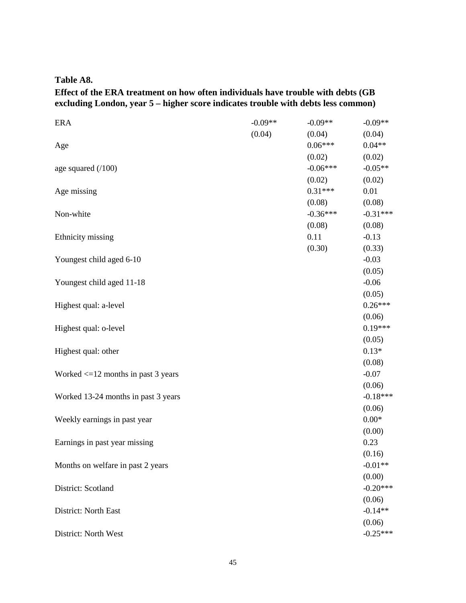**Table A8.**

# **Effect of the ERA treatment on how often individuals have trouble with debts (GB excluding London, year 5 – higher score indicates trouble with debts less common)**

| <b>ERA</b>                              | $-0.09**$ | $-0.09**$  | $-0.09**$  |
|-----------------------------------------|-----------|------------|------------|
|                                         | (0.04)    | (0.04)     | (0.04)     |
| Age                                     |           | $0.06***$  | $0.04**$   |
|                                         |           | (0.02)     | (0.02)     |
| age squared $(100)$                     |           | $-0.06***$ | $-0.05**$  |
|                                         |           | (0.02)     | (0.02)     |
| Age missing                             |           | $0.31***$  | 0.01       |
|                                         |           | (0.08)     | (0.08)     |
| Non-white                               |           | $-0.36***$ | $-0.31***$ |
|                                         |           | (0.08)     | (0.08)     |
| Ethnicity missing                       |           | 0.11       | $-0.13$    |
|                                         |           | (0.30)     | (0.33)     |
| Youngest child aged 6-10                |           |            | $-0.03$    |
|                                         |           |            | (0.05)     |
| Youngest child aged 11-18               |           |            | $-0.06$    |
|                                         |           |            | (0.05)     |
| Highest qual: a-level                   |           |            | $0.26***$  |
|                                         |           |            | (0.06)     |
| Highest qual: o-level                   |           |            | $0.19***$  |
|                                         |           |            | (0.05)     |
| Highest qual: other                     |           |            | $0.13*$    |
|                                         |           |            | (0.08)     |
| Worked $\leq 12$ months in past 3 years |           |            | $-0.07$    |
|                                         |           |            | (0.06)     |
| Worked 13-24 months in past 3 years     |           |            | $-0.18***$ |
|                                         |           |            | (0.06)     |
| Weekly earnings in past year            |           |            | $0.00*$    |
|                                         |           |            | (0.00)     |
| Earnings in past year missing           |           |            | 0.23       |
|                                         |           |            | (0.16)     |
| Months on welfare in past 2 years       |           |            | $-0.01**$  |
|                                         |           |            | (0.00)     |
| District: Scotland                      |           |            | $-0.20***$ |
|                                         |           |            | (0.06)     |
| District: North East                    |           |            | $-0.14**$  |
|                                         |           |            | (0.06)     |
| District: North West                    |           |            | $-0.25***$ |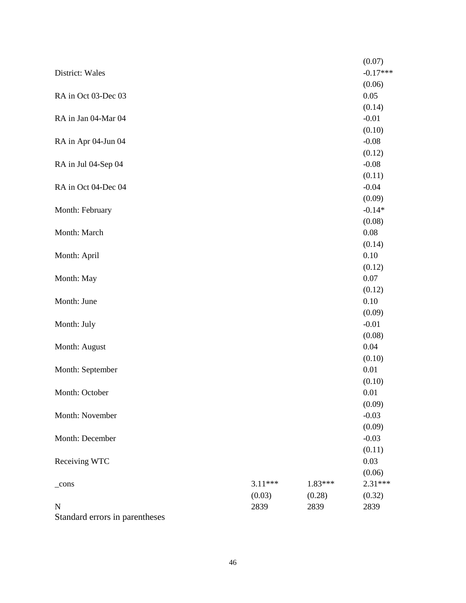|                                |           |         | (0.07)            |
|--------------------------------|-----------|---------|-------------------|
| District: Wales                |           |         | $-0.17***$        |
|                                |           |         | (0.06)            |
| RA in Oct 03-Dec 03            |           |         | 0.05              |
|                                |           |         | (0.14)            |
| RA in Jan 04-Mar 04            |           |         | $-0.01$           |
|                                |           |         | (0.10)            |
| RA in Apr 04-Jun 04            |           |         | $-0.08$           |
|                                |           |         | (0.12)            |
| RA in Jul 04-Sep 04            |           |         | $-0.08$           |
| RA in Oct 04-Dec 04            |           |         | (0.11)<br>$-0.04$ |
|                                |           |         | (0.09)            |
| Month: February                |           |         | $-0.14*$          |
|                                |           |         | (0.08)            |
| Month: March                   |           |         | 0.08              |
|                                |           |         | (0.14)            |
| Month: April                   |           |         | 0.10              |
|                                |           |         | (0.12)            |
| Month: May                     |           |         | 0.07              |
|                                |           |         | (0.12)            |
| Month: June                    |           |         | 0.10              |
|                                |           |         | (0.09)            |
| Month: July                    |           |         | $-0.01$           |
|                                |           |         | (0.08)            |
| Month: August                  |           |         | 0.04              |
|                                |           |         | (0.10)            |
| Month: September               |           |         | 0.01<br>(0.10)    |
| Month: October                 |           |         | 0.01              |
|                                |           |         | (0.09)            |
| Month: November                |           |         | $-0.03$           |
|                                |           |         | (0.09)            |
| Month: December                |           |         | $-0.03$           |
|                                |           |         | (0.11)            |
| Receiving WTC                  |           |         | 0.03              |
|                                |           |         | (0.06)            |
| $_{\rm cons}$                  | $3.11***$ | 1.83*** | 2.31***           |
|                                | (0.03)    | (0.28)  | (0.32)            |
| $\mathbf N$                    | 2839      | 2839    | 2839              |
| Standard errors in parentheses |           |         |                   |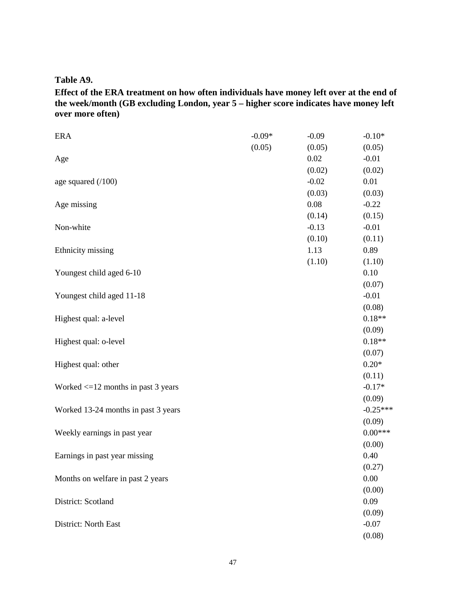**Table A9.**

**Effect of the ERA treatment on how often individuals have money left over at the end of the week/month (GB excluding London, year 5 – higher score indicates have money left over more often)** 

| <b>ERA</b>                              | $-0.09*$ | $-0.09$ | $-0.10*$   |
|-----------------------------------------|----------|---------|------------|
|                                         | (0.05)   | (0.05)  | (0.05)     |
| Age                                     |          | 0.02    | $-0.01$    |
|                                         |          | (0.02)  | (0.02)     |
| age squared $(100)$                     |          | $-0.02$ | 0.01       |
|                                         |          | (0.03)  | (0.03)     |
| Age missing                             |          | 0.08    | $-0.22$    |
|                                         |          | (0.14)  | (0.15)     |
| Non-white                               |          | $-0.13$ | $-0.01$    |
|                                         |          | (0.10)  | (0.11)     |
| Ethnicity missing                       |          | 1.13    | 0.89       |
|                                         |          | (1.10)  | (1.10)     |
| Youngest child aged 6-10                |          |         | 0.10       |
|                                         |          |         | (0.07)     |
| Youngest child aged 11-18               |          |         | $-0.01$    |
|                                         |          |         | (0.08)     |
| Highest qual: a-level                   |          |         | $0.18**$   |
|                                         |          |         | (0.09)     |
| Highest qual: o-level                   |          |         | $0.18**$   |
|                                         |          |         | (0.07)     |
| Highest qual: other                     |          |         | $0.20*$    |
|                                         |          |         | (0.11)     |
| Worked $\leq$ 12 months in past 3 years |          |         | $-0.17*$   |
|                                         |          |         | (0.09)     |
| Worked 13-24 months in past 3 years     |          |         | $-0.25***$ |
|                                         |          |         | (0.09)     |
| Weekly earnings in past year            |          |         | $0.00***$  |
|                                         |          |         | (0.00)     |
| Earnings in past year missing           |          |         | 0.40       |
|                                         |          |         | (0.27)     |
| Months on welfare in past 2 years       |          |         | 0.00       |
|                                         |          |         | (0.00)     |
| District: Scotland                      |          |         | 0.09       |
|                                         |          |         | (0.09)     |
| District: North East                    |          |         | $-0.07$    |
|                                         |          |         | (0.08)     |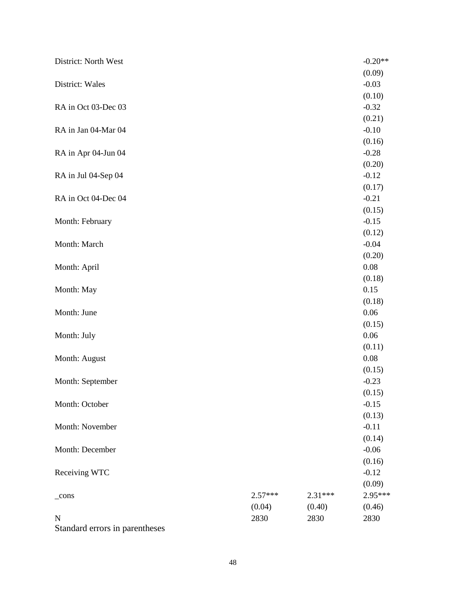| District: North West |           |         | $-0.20**$      |
|----------------------|-----------|---------|----------------|
|                      |           |         | (0.09)         |
| District: Wales      |           |         | $-0.03$        |
|                      |           |         | (0.10)         |
| RA in Oct 03-Dec 03  |           |         | $-0.32$        |
|                      |           |         | (0.21)         |
| RA in Jan 04-Mar 04  |           |         | $-0.10$        |
|                      |           |         | (0.16)         |
| RA in Apr 04-Jun 04  |           |         | $-0.28$        |
|                      |           |         | (0.20)         |
| RA in Jul 04-Sep 04  |           |         | $-0.12$        |
|                      |           |         | (0.17)         |
| RA in Oct 04-Dec 04  |           |         | $-0.21$        |
|                      |           |         | (0.15)         |
| Month: February      |           |         | $-0.15$        |
|                      |           |         | (0.12)         |
| Month: March         |           |         | $-0.04$        |
|                      |           |         | (0.20)         |
| Month: April         |           |         | 0.08           |
|                      |           |         | (0.18)         |
| Month: May           |           |         | 0.15           |
|                      |           |         | (0.18)<br>0.06 |
| Month: June          |           |         | (0.15)         |
| Month: July          |           |         | 0.06           |
|                      |           |         | (0.11)         |
| Month: August        |           |         | 0.08           |
|                      |           |         | (0.15)         |
| Month: September     |           |         | $-0.23$        |
|                      |           |         | (0.15)         |
| Month: October       |           |         | $-0.15$        |
|                      |           |         | (0.13)         |
| Month: November      |           |         | $-0.11$        |
|                      |           |         | (0.14)         |
| Month: December      |           |         | $-0.06$        |
|                      |           |         | (0.16)         |
| Receiving WTC        |           |         | $-0.12$        |
|                      |           |         | (0.09)         |
| $_{\rm cons}$        | $2.57***$ | 2.31*** | 2.95***        |
|                      | (0.04)    | (0.40)  | (0.46)         |
| N                    | 2830      | 2830    | 2830           |
|                      |           |         |                |

Standard errors in parentheses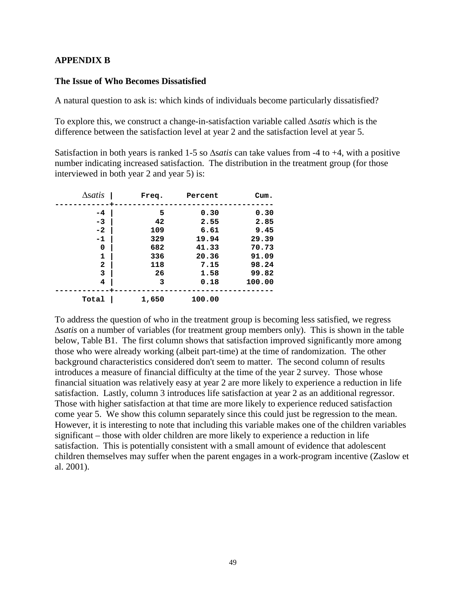### **APPENDIX B**

#### **The Issue of Who Becomes Dissatisfied**

A natural question to ask is: which kinds of individuals become particularly dissatisfied?

To explore this, we construct a change-in-satisfaction variable called ∆s*atis* which is the difference between the satisfaction level at year 2 and the satisfaction level at year 5.

Satisfaction in both years is ranked 1-5 so ∆s*atis* can take values from -4 to +4, with a positive number indicating increased satisfaction. The distribution in the treatment group (for those interviewed in both year 2 and year 5) is:

| $\Delta$ satis | Freq. | Percent | Cum.   |
|----------------|-------|---------|--------|
| $-4$           | 5     | 0.30    | 0.30   |
| $-3$           | 42    | 2.55    | 2.85   |
| $-2$           | 109   | 6.61    | 9.45   |
| -1             | 329   | 19.94   | 29.39  |
| 0              | 682   | 41.33   | 70.73  |
| 1              | 336   | 20.36   | 91.09  |
| $\mathbf{2}$   | 118   | 7.15    | 98.24  |
| 3              | 26    | 1.58    | 99.82  |
| 4              | 3     | 0.18    | 100.00 |
| Total          | 1,650 | 100.00  |        |

To address the question of who in the treatment group is becoming less satisfied, we regress ∆s*atis* on a number of variables (for treatment group members only). This is shown in the table below, Table B1. The first column shows that satisfaction improved significantly more among those who were already working (albeit part-time) at the time of randomization. The other background characteristics considered don't seem to matter. The second column of results introduces a measure of financial difficulty at the time of the year 2 survey. Those whose financial situation was relatively easy at year 2 are more likely to experience a reduction in life satisfaction. Lastly, column 3 introduces life satisfaction at year 2 as an additional regressor. Those with higher satisfaction at that time are more likely to experience reduced satisfaction come year 5. We show this column separately since this could just be regression to the mean. However, it is interesting to note that including this variable makes one of the children variables significant – those with older children are more likely to experience a reduction in life satisfaction. This is potentially consistent with a small amount of evidence that adolescent children themselves may suffer when the parent engages in a work-program incentive (Zaslow et al. 2001).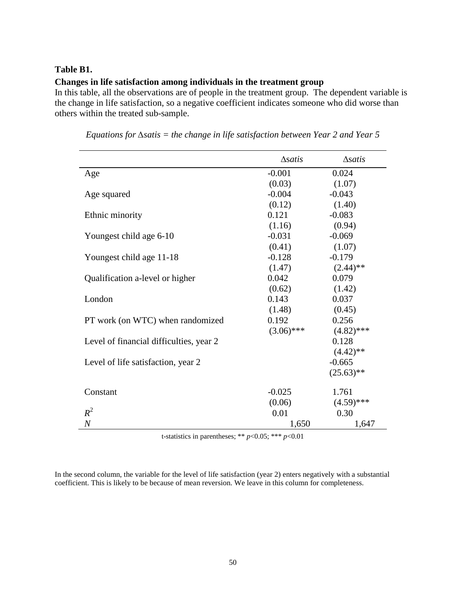#### **Table B1.**

# **Changes in life satisfaction among individuals in the treatment group**

In this table, all the observations are of people in the treatment group. The dependent variable is the change in life satisfaction, so a negative coefficient indicates someone who did worse than others within the treated sub-sample.

|                                         | $\Delta$ satis | $\Delta$ satis |
|-----------------------------------------|----------------|----------------|
| Age                                     | $-0.001$       | 0.024          |
|                                         | (0.03)         | (1.07)         |
| Age squared                             | $-0.004$       | $-0.043$       |
|                                         | (0.12)         | (1.40)         |
| Ethnic minority                         | 0.121          | $-0.083$       |
|                                         | (1.16)         | (0.94)         |
| Youngest child age 6-10                 | $-0.031$       | $-0.069$       |
|                                         | (0.41)         | (1.07)         |
| Youngest child age 11-18                | $-0.128$       | $-0.179$       |
|                                         | (1.47)         | $(2.44)$ **    |
| Qualification a-level or higher         | 0.042          | 0.079          |
|                                         | (0.62)         | (1.42)         |
| London                                  | 0.143          | 0.037          |
|                                         | (1.48)         | (0.45)         |
| PT work (on WTC) when randomized        | 0.192          | 0.256          |
|                                         | $(3.06)$ ***   | $(4.82)$ ***   |
| Level of financial difficulties, year 2 |                | 0.128          |
|                                         |                | $(4.42)$ **    |
| Level of life satisfaction, year 2      |                | $-0.665$       |
|                                         |                | $(25.63)$ **   |
| Constant                                | $-0.025$       | 1.761          |
|                                         | (0.06)         | $(4.59)$ ***   |
| $R^2$                                   | 0.01           | 0.30           |
| $\boldsymbol{N}$                        | 1,650          | 1,647          |

*Equations for ∆satis = the change in life satisfaction between Year 2 and Year 5*

t-statistics in parentheses; \*\* *p*<0.05; \*\*\* *p*<0.01

In the second column, the variable for the level of life satisfaction (year 2) enters negatively with a substantial coefficient. This is likely to be because of mean reversion. We leave in this column for completeness.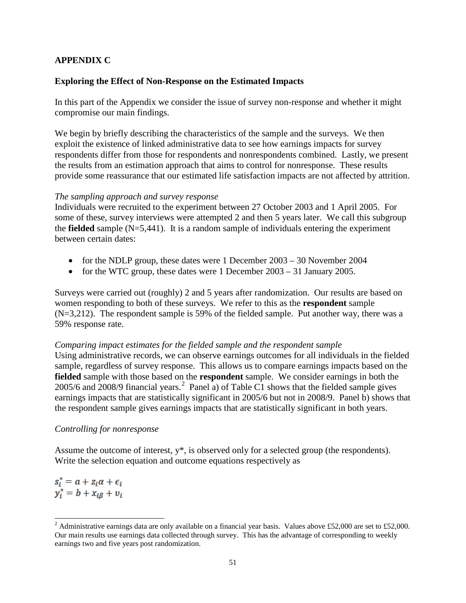# **APPENDIX C**

# **Exploring the Effect of Non-Response on the Estimated Impacts**

In this part of the Appendix we consider the issue of survey non-response and whether it might compromise our main findings.

We begin by briefly describing the characteristics of the sample and the surveys. We then exploit the existence of linked administrative data to see how earnings impacts for survey respondents differ from those for respondents and nonrespondents combined. Lastly, we present the results from an estimation approach that aims to control for nonresponse. These results provide some reassurance that our estimated life satisfaction impacts are not affected by attrition.

#### *The sampling approach and survey response*

Individuals were recruited to the experiment between 27 October 2003 and 1 April 2005. For some of these, survey interviews were attempted 2 and then 5 years later. We call this subgroup the **fielded** sample (N=5,441). It is a random sample of individuals entering the experiment between certain dates:

- for the NDLP group, these dates were 1 December 2003 30 November 2004
- for the WTC group, these dates were 1 December 2003 31 January 2005.

Surveys were carried out (roughly) 2 and 5 years after randomization. Our results are based on women responding to both of these surveys. We refer to this as the **respondent** sample (N=3,212). The respondent sample is 59% of the fielded sample. Put another way, there was a 59% response rate.

### *Comparing impact estimates for the fielded sample and the respondent sample*

Using administrative records, we can observe earnings outcomes for all individuals in the fielded sample, regardless of survey response. This allows us to compare earnings impacts based on the **fielded** sample with those based on the **respondent** sample. We consider earnings in both the [2](#page-10-0)005/6 and 2008/9 financial years.<sup>2</sup> Panel a) of Table C1 shows that the fielded sample gives earnings impacts that are statistically significant in 2005/6 but not in 2008/9. Panel b) shows that the respondent sample gives earnings impacts that are statistically significant in both years.

### *Controlling for nonresponse*

Assume the outcome of interest, y\*, is observed only for a selected group (the respondents). Write the selection equation and outcome equations respectively as

 $s_i^* = a + z_i \alpha + \epsilon_i$  $y_i^* = b + x_{i\beta} + v_i$ 

<sup>&</sup>lt;sup>2</sup> Administrative earnings data are only available on a financial year basis. Values above £52,000 are set to £52,000. Our main results use earnings data collected through survey. This has the advantage of corresponding to weekly earnings two and five years post randomization.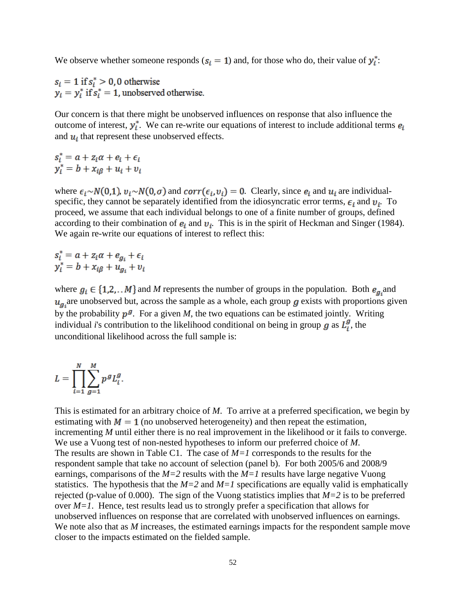We observe whether someone responds ( $s_i = 1$ ) and, for those who do, their value of  $y_i^*$ :

 $s_i = 1$  if  $s_i^* > 0$ , 0 otherwise  $y_i = y_i^*$  if  $s_i^* = 1$ , unobserved otherwise.

Our concern is that there might be unobserved influences on response that also influence the outcome of interest,  $y_i^*$ . We can re-write our equations of interest to include additional terms  $e_i$ and  $u_i$  that represent these unobserved effects.

$$
s_i^* = a + z_i \alpha + e_i + \epsilon_i
$$
  

$$
y_i^* = b + x_{i\beta} + u_i + v_i
$$

where  $\epsilon_i \sim N(0,1)$ ,  $v_i \sim N(0,\sigma)$  and  $corr(\epsilon_i, v_i) = 0$ . Clearly, since  $e_i$  and  $u_i$  are individualspecific, they cannot be separately identified from the idiosyncratic error terms,  $\epsilon_i$  and  $v_i$ . To proceed, we assume that each individual belongs to one of a finite number of groups, defined according to their combination of  $e_i$  and  $v_i$ . This is in the spirit of Heckman and Singer (1984). We again re-write our equations of interest to reflect this:

 $s_i^* = a + z_i \alpha + e_{g_i} + \epsilon_i$ <br>  $y_i^* = b + x_{i\beta} + u_{g_i} + v_i$ 

where  $g_i \in \{1,2,...M\}$  and M represents the number of groups in the population. Both  $e_{g_i}$  and  $u_{\sigma}$  are unobserved but, across the sample as a whole, each group  $g$  exists with proportions given by the probability  $p^g$ . For a given *M*, the two equations can be estimated jointly. Writing individual *i*'s contribution to the likelihood conditional on being in group  $g$  as  $L_i^g$ , the unconditional likelihood across the full sample is:

$$
L=\prod_{i=1}^N\sum_{g=1}^M p^g L_i^g
$$

This is estimated for an arbitrary choice of *M*. To arrive at a preferred specification, we begin by estimating with  $M = 1$  (no unobserved heterogeneity) and then repeat the estimation, incrementing *M* until either there is no real improvement in the likelihood or it fails to converge. We use a Vuong test of non-nested hypotheses to inform our preferred choice of *M*. The results are shown in Table C1. The case of *M=1* corresponds to the results for the respondent sample that take no account of selection (panel b). For both 2005/6 and 2008/9 earnings, comparisons of the *M=2* results with the *M=1* results have large negative Vuong statistics. The hypothesis that the  $M=2$  and  $M=1$  specifications are equally valid is emphatically rejected (p-value of 0.000). The sign of the Vuong statistics implies that *M=2* is to be preferred over *M=1*. Hence, test results lead us to strongly prefer a specification that allows for unobserved influences on response that are correlated with unobserved influences on earnings. We note also that as *M* increases, the estimated earnings impacts for the respondent sample move closer to the impacts estimated on the fielded sample.